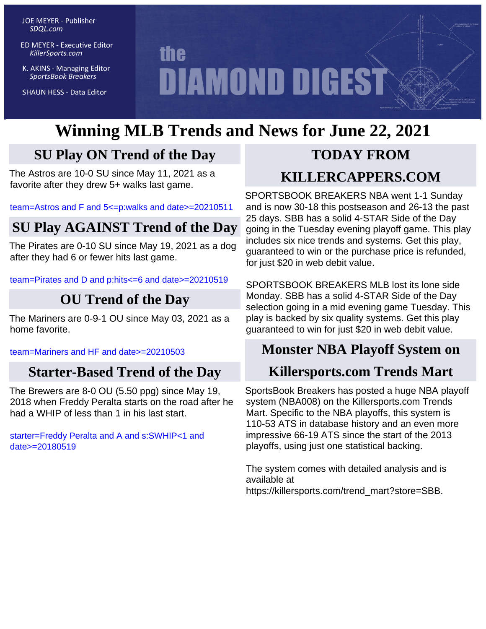**JOE MEYER - Publisher** SDQL.com

**ED MEYER - Executive Editor** KillerSports.com

K. AKINS - Managing Editor **SportsBook Breakers** 

**SHAUN HESS - Data Editor** 

# **the DIAMOND DIGEST**

# **Winning MLB Trends and News for June 22, 2021**

# **SU Play ON Trend of the Day**

The Astros are 10-0 SU since May 11, 2021 as a favorite after they drew 5+ walks last game.

[team=Astros and F and 5<=p:walks and date>=20210511](http://KillerSports.com/mlb/query?sdql=team%3DAstros%20and%20F%20and%205%3C%3Dp%3Awalks%20and%20date%3E%3D20210511)

# **SU Play AGAINST Trend of the Day**

The Pirates are 0-10 SU since May 19, 2021 as a dog after they had 6 or fewer hits last game.

[team=Pirates and D and p:hits<=6 and date>=20210519](http://KillerSports.com/mlb/query?sdql=team%3DPirates%20and%20D%20and%20p%3Ahits%3C%3D6%20and%20date%3E%3D20210519)

# **OU Trend of the Day**

The Mariners are 0-9-1 OU since May 03, 2021 as a home favorite.

[team=Mariners and HF and date>=20210503](http://KillerSports.com/mlb/query?sdql=team%3DMariners%20and%20HF%20and%20date%3E%3D20210503)

# **Starter-Based Trend of the Day**

The Brewers are 8-0 OU (5.50 ppg) since May 19, 2018 when Freddy Peralta starts on the road after he had a WHIP of less than 1 in his last start.

[starter=Freddy Peralta and A and s:SWHIP<1 and](http://KillerSports.com/mlb/query?sdql=starter%3DFreddy%20Peralta%20and%20A%20and%20s%3ASWHIP%3C1%20and%20date%3E%3D20180519) [date>=20180519](http://KillerSports.com/mlb/query?sdql=starter%3DFreddy%20Peralta%20and%20A%20and%20s%3ASWHIP%3C1%20and%20date%3E%3D20180519)

# **TODAY FROM**

# **KILLERCAPPERS.COM**

SPORTSBOOK BREAKERS NBA went 1-1 Sunday and is now 30-18 this postseason and 26-13 the past 25 days. SBB has a solid 4-STAR Side of the Day going in the Tuesday evening playoff game. This play includes six nice trends and systems. Get this play, guaranteed to win or the purchase price is refunded, for just \$20 in web debit value.

SPORTSBOOK BREAKERS MLB lost its lone side Monday. SBB has a solid 4-STAR Side of the Day selection going in a mid evening game Tuesday. This play is backed by six quality systems. Get this play guaranteed to win for just \$20 in web debit value.

# **Monster NBA Playoff System on**

# **Killersports.com Trends Mart**

SportsBook Breakers has posted a huge NBA playoff system (NBA008) on the Killersports.com Trends Mart. Specific to the NBA playoffs, this system is 110-53 ATS in database history and an even more impressive 66-19 ATS since the start of the 2013 playoffs, using just one statistical backing.

The system comes with detailed analysis and is available at https://killersports.com/trend\_mart?store=SBB.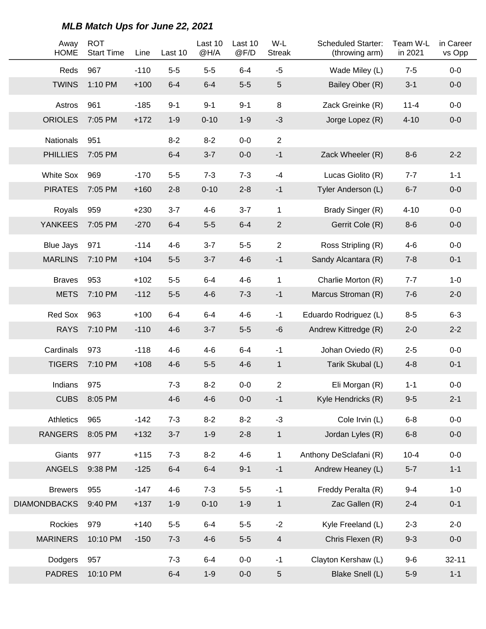| Away<br><b>HOME</b> | <b>ROT</b><br><b>Start Time</b> | Line   | Last 10 | Last 10<br>@H/A | Last 10<br>@F/D | W-L<br><b>Streak</b> | <b>Scheduled Starter:</b><br>(throwing arm) | Team W-L<br>in 2021 | in Career<br>vs Opp |
|---------------------|---------------------------------|--------|---------|-----------------|-----------------|----------------------|---------------------------------------------|---------------------|---------------------|
| Reds                | 967                             | $-110$ | $5-5$   | $5-5$           | $6 - 4$         | $-5$                 | Wade Miley (L)                              | $7 - 5$             | $0-0$               |
| <b>TWINS</b>        | 1:10 PM                         | $+100$ | $6 - 4$ | $6 - 4$         | $5-5$           | $\sqrt{5}$           | Bailey Ober (R)                             | $3 - 1$             | $0-0$               |
| Astros              | 961                             | $-185$ | $9 - 1$ | $9 - 1$         | $9 - 1$         | 8                    | Zack Greinke (R)                            | $11 - 4$            | $0-0$               |
| <b>ORIOLES</b>      | 7:05 PM                         | $+172$ | $1 - 9$ | $0 - 10$        | $1 - 9$         | $-3$                 | Jorge Lopez (R)                             | $4 - 10$            | $0-0$               |
| <b>Nationals</b>    | 951                             |        | $8 - 2$ | $8 - 2$         | $0-0$           | $\overline{2}$       |                                             |                     |                     |
| <b>PHILLIES</b>     | 7:05 PM                         |        | $6 - 4$ | $3 - 7$         | $0-0$           | $-1$                 | Zack Wheeler (R)                            | $8-6$               | $2 - 2$             |
| <b>White Sox</b>    | 969                             | $-170$ | $5-5$   | $7 - 3$         | $7 - 3$         | $-4$                 | Lucas Giolito (R)                           | $7 - 7$             | $1 - 1$             |
| <b>PIRATES</b>      | 7:05 PM                         | $+160$ | $2 - 8$ | $0 - 10$        | $2 - 8$         | $-1$                 | Tyler Anderson (L)                          | $6 - 7$             | $0-0$               |
| Royals              | 959                             | $+230$ | $3 - 7$ | $4 - 6$         | $3 - 7$         | $\mathbf{1}$         | Brady Singer (R)                            | $4 - 10$            | $0-0$               |
| <b>YANKEES</b>      | 7:05 PM                         | $-270$ | $6 - 4$ | $5-5$           | $6 - 4$         | $\overline{c}$       | Gerrit Cole (R)                             | $8-6$               | $0-0$               |
| <b>Blue Jays</b>    | 971                             | $-114$ | $4 - 6$ | $3 - 7$         | $5-5$           | $\overline{2}$       | Ross Stripling (R)                          | $4 - 6$             | $0-0$               |
| <b>MARLINS</b>      | 7:10 PM                         | $+104$ | $5-5$   | $3 - 7$         | $4 - 6$         | $-1$                 | Sandy Alcantara (R)                         | $7 - 8$             | $0 - 1$             |
| <b>Braves</b>       | 953                             | $+102$ | $5-5$   | $6 - 4$         | $4 - 6$         | 1                    | Charlie Morton (R)                          | $7 - 7$             | $1 - 0$             |
| <b>METS</b>         | 7:10 PM                         | $-112$ | $5-5$   | $4 - 6$         | $7 - 3$         | $-1$                 | Marcus Stroman (R)                          | $7-6$               | $2 - 0$             |
| Red Sox             | 963                             | $+100$ | $6 - 4$ | $6 - 4$         | $4 - 6$         | $-1$                 | Eduardo Rodriguez (L)                       | $8 - 5$             | $6 - 3$             |
| <b>RAYS</b>         | 7:10 PM                         | $-110$ | $4-6$   | $3 - 7$         | $5-5$           | $-6$                 | Andrew Kittredge (R)                        | $2 - 0$             | $2 - 2$             |
| Cardinals           | 973                             | $-118$ | $4 - 6$ | $4 - 6$         | $6-4$           | $-1$                 | Johan Oviedo (R)                            | $2 - 5$             | $0-0$               |
| <b>TIGERS</b>       | 7:10 PM                         | $+108$ | $4 - 6$ | $5-5$           | $4 - 6$         | $\mathbf{1}$         | Tarik Skubal (L)                            | $4 - 8$             | $0 - 1$             |
| Indians             | 975                             |        | $7 - 3$ | $8 - 2$         | $0-0$           | 2                    | Eli Morgan (R)                              | $1 - 1$             | $0-0$               |
| <b>CUBS</b>         | 8:05 PM                         |        | $4-6$   | $4 - 6$         | $0-0$           | $-1$                 | Kyle Hendricks (R)                          | $9 - 5$             | $2 - 1$             |
| Athletics           | 965                             | $-142$ | $7 - 3$ | $8 - 2$         | $8 - 2$         | $-3$                 | Cole Irvin (L)                              | $6 - 8$             | $0-0$               |
| <b>RANGERS</b>      | 8:05 PM                         | $+132$ | $3 - 7$ | $1-9$           | $2 - 8$         | $\mathbf{1}$         | Jordan Lyles (R)                            | $6 - 8$             | $0-0$               |
| Giants              | 977                             | $+115$ | $7 - 3$ | $8 - 2$         | $4 - 6$         | $\mathbf{1}$         | Anthony DeSclafani (R)                      | $10 - 4$            | $0-0$               |
| <b>ANGELS</b>       | 9:38 PM                         | $-125$ | $6 - 4$ | $6 - 4$         | $9 - 1$         | $-1$                 | Andrew Heaney (L)                           | $5-7$               | $1 - 1$             |
| <b>Brewers</b>      | 955                             | $-147$ | $4 - 6$ | $7 - 3$         | $5-5$           | $-1$                 | Freddy Peralta (R)                          | $9 - 4$             | $1 - 0$             |
| <b>DIAMONDBACKS</b> | 9:40 PM                         | $+137$ | $1-9$   | $0 - 10$        | $1-9$           | $\mathbf{1}$         | Zac Gallen (R)                              | $2 - 4$             | $0 - 1$             |
| Rockies             | 979                             | $+140$ | $5-5$   | $6 - 4$         | $5-5$           | $-2$                 | Kyle Freeland (L)                           | $2 - 3$             | $2 - 0$             |
| <b>MARINERS</b>     | 10:10 PM                        | $-150$ | $7 - 3$ | $4-6$           | $5-5$           | $\overline{4}$       | Chris Flexen (R)                            | $9 - 3$             | $0-0$               |
| Dodgers             | 957                             |        | $7 - 3$ | $6 - 4$         | $0-0$           | $-1$                 | Clayton Kershaw (L)                         | $9-6$               | $32 - 11$           |
| <b>PADRES</b>       | 10:10 PM                        |        | $6 - 4$ | $1-9$           | $0-0$           | 5                    | Blake Snell (L)                             | $5-9$               | $1 - 1$             |

#### **MLB Match Ups for June 22, 2021**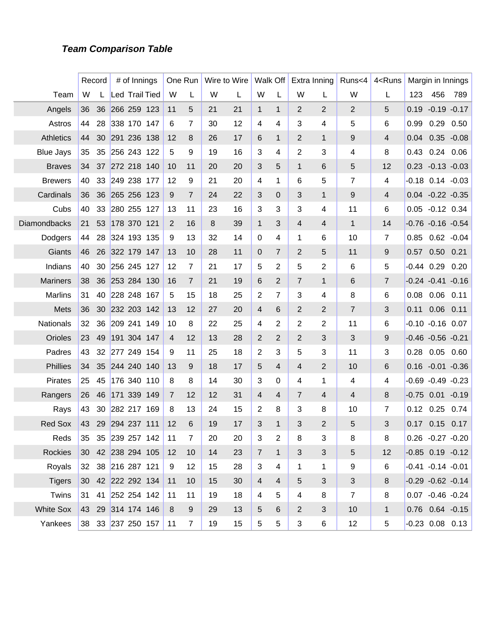#### **Team Comparison Table**

|                  |                 | Record | # of Innings   |                       |                | One Run        |    | Wire to Wire |                | Walk Off                |                | Extra Inning   | Runs<4         | 4 <runs< th=""><th></th><th>Margin in Innings</th><th></th></runs<> |      | Margin in Innings      |      |
|------------------|-----------------|--------|----------------|-----------------------|----------------|----------------|----|--------------|----------------|-------------------------|----------------|----------------|----------------|---------------------------------------------------------------------|------|------------------------|------|
| Team             | W               |        |                | <b>Led Trail Tied</b> | W              | L              | W  | L            | W              | L                       | W              | L              | W              | L                                                                   | 123  | 456                    | 789  |
| Angels           | 36              | 36     | 266 259 123    |                       | 11             | 5              | 21 | 21           | $\mathbf 1$    | $\mathbf{1}$            | 2              | 2              | $\overline{2}$ | 5                                                                   | 0.19 | $-0.19 - 0.17$         |      |
| Astros           | 44              | 28     | 338 170 147    |                       | 6              | 7              | 30 | 12           | 4              | 4                       | 3              | 4              | 5              | 6                                                                   | 0.99 | 0.29                   | 0.50 |
| <b>Athletics</b> | 44              | 30     | 291 236 138    |                       | 12             | 8              | 26 | 17           | 6              | $\mathbf{1}$            | 2              | $\mathbf{1}$   | 9              | 4                                                                   | 0.04 | $0.35 - 0.08$          |      |
| <b>Blue Jays</b> | 35              | 35     | 256 243 122    |                       | $\overline{5}$ | 9              | 19 | 16           | 3              | 4                       | 2              | 3              | 4              | 8                                                                   | 0.43 | $0.24$ 0.06            |      |
| <b>Braves</b>    | 34              |        | 37 272 218 140 |                       | 10             | 11             | 20 | 20           | 3              | 5                       | $\mathbf{1}$   | 6              | 5              | 12                                                                  |      | $0.23 - 0.13 - 0.03$   |      |
| <b>Brewers</b>   | 40              | 33     | 249 238 177    |                       | 12             | 9              | 21 | 20           | 4              | 1                       | 6              | 5              | $\overline{7}$ | 4                                                                   |      | $-0.18$ $0.14$ $-0.03$ |      |
| Cardinals        | 36              | 36     | 265 256 123    |                       | 9              | $\overline{7}$ | 24 | 22           | 3              | $\mathbf 0$             | 3              | $\mathbf{1}$   | 9              | 4                                                                   |      | $0.04 -0.22 -0.35$     |      |
| Cubs             | 40              | 33     | 280 255 127    |                       | 13             | 11             | 23 | 16           | 3              | 3                       | 3              | 4              | 11             | 6                                                                   |      | $0.05 -0.12$ 0.34      |      |
| Diamondbacks     | 21              | 53     | 178 370 121    |                       | 2              | 16             | 8  | 39           | $\mathbf{1}$   | 3                       | 4              | 4              | $\mathbf{1}$   | 14                                                                  |      | $-0.76 - 0.16 - 0.54$  |      |
| Dodgers          | 44              | 28     | 324 193 135    |                       | 9              | 13             | 32 | 14           | $\mathbf 0$    | 4                       | 1              | 6              | 10             | $\overline{7}$                                                      | 0.85 | $0.62 - 0.04$          |      |
| Giants           | 46              | 26     | 322 179 147    |                       | 13             | 10             | 28 | 11           | $\mathbf 0$    | 7                       | 2              | 5              | 11             | 9                                                                   | 0.57 | 0.50                   | 0.21 |
| Indians          | 40              | 30     | 256 245 127    |                       | 12             | 7              | 21 | 17           | 5              | 2                       | 5              | 2              | 6              | 5                                                                   |      | $-0.44$ 0.29           | 0.20 |
| <b>Mariners</b>  | 38              |        | 36 253 284 130 |                       | 16             | $\overline{7}$ | 21 | 19           | 6              | 2                       | $\overline{7}$ | $\mathbf{1}$   | 6              | $\overline{7}$                                                      |      | $-0.24 - 0.41 - 0.16$  |      |
| <b>Marlins</b>   | 31              | 40     | 228 248 167    |                       | 5              | 15             | 18 | 25           | 2              | 7                       | 3              | 4              | 8              | 6                                                                   | 0.08 | 0.06                   | 0.11 |
| Mets             | 36              | 30     | 232 203 142    |                       | 13             | 12             | 27 | 20           | 4              | 6                       | 2              | 2              | $\overline{7}$ | 3                                                                   | 0.11 | 0.06                   | 0.11 |
| Nationals        | 32              | 36     | 209 241        | 149                   | 10             | 8              | 22 | 25           | 4              | 2                       | 2              | 2              | 11             | 6                                                                   |      | $-0.10 -0.16$ 0.07     |      |
| Orioles          | 23              | 49     | 191 304 147    |                       | $\overline{4}$ | 12             | 13 | 28           | 2              | 2                       | $\overline{2}$ | 3              | 3              | 9                                                                   |      | $-0.46 -0.56 -0.21$    |      |
| Padres           | 43              | 32     | 277 249        | 154                   | 9              | 11             | 25 | 18           | 2              | 3                       | 5              | 3              | 11             | 3                                                                   | 0.28 | $0.05$ 0.60            |      |
| <b>Phillies</b>  | 34              | 35     | 244 240 140    |                       | 13             | 9              | 18 | 17           | 5              | $\overline{4}$          | 4              | 2              | 10             | 6                                                                   |      | $0.16 - 0.01 - 0.36$   |      |
| <b>Pirates</b>   | 25              | 45     | 176 340        | 110                   | 8              | 8              | 14 | 30           | 3              | 0                       | 4              | 1              | 4              | 4                                                                   |      | $-0.69 - 0.49 - 0.23$  |      |
| Rangers          | 26              | 46     | 171 339 149    |                       | $\overline{7}$ | 12             | 12 | 31           | 4              | 4                       | $\overline{7}$ | 4              | $\overline{4}$ | 8                                                                   |      | $-0.75$ $0.01$ $-0.19$ |      |
| Rays             | 43              | 30     | 282 217        | 169                   | 8              | 13             | 24 | 15           | 2              | 8                       | 3              | 8              | 10             | 7                                                                   | 0.12 | 0.25                   | 0.74 |
| <b>Red Sox</b>   | 43              | 29     | 294 237 111    |                       | 12             | 6              | 19 | 17           | 3              | 1                       | 3              | $\overline{2}$ | 5              | 3                                                                   | 0.17 | 0.15                   | 0.17 |
| Reds             | 35              |        |                | 35 239 257 142        | 11             | 7              | 20 | 20           | 3              | $\overline{\mathbf{c}}$ | 8              | 3              | 8              | 8                                                                   |      | $0.26 -0.27 -0.20$     |      |
| <b>Rockies</b>   | 30 <sup>°</sup> |        |                | 42 238 294 105        | 12             | 10             | 14 | 23           | $\overline{7}$ | $\mathbf{1}$            | 3              | 3              | 5              | 12                                                                  |      | $-0.85$ 0.19 $-0.12$   |      |
| Royals           | 32              |        | 38 216 287 121 |                       | 9              | 12             | 15 | 28           | 3              | 4                       | 1              | 1              | 9              | 6                                                                   |      | $-0.41 - 0.14 - 0.01$  |      |
| <b>Tigers</b>    | 30 <sup>°</sup> |        |                | 42 222 292 134        | 11             | 10             | 15 | 30           | $\overline{4}$ | $\overline{\mathbf{4}}$ | 5              | 3              | 3              | 8                                                                   |      | $-0.29 - 0.62 - 0.14$  |      |
| Twins            | 31              | 41     |                | 252 254 142           | 11             | 11             | 19 | 18           | 4              | 5                       | 4              | 8              | $\overline{7}$ | 8                                                                   |      | $0.07 -0.46 -0.24$     |      |
| <b>White Sox</b> | 43              |        |                | 29 314 174 146        | 8              | 9              | 29 | 13           | 5              | 6                       | 2              | 3              | 10             | $\mathbf{1}$                                                        |      | $0.76$ $0.64$ $-0.15$  |      |
| Yankees          | 38              |        |                | 33 237 250 157        | 11             | 7              | 19 | 15           | 5              | 5                       | 3              | 6              | 12             | 5                                                                   |      | $-0.23$ 0.08 0.13      |      |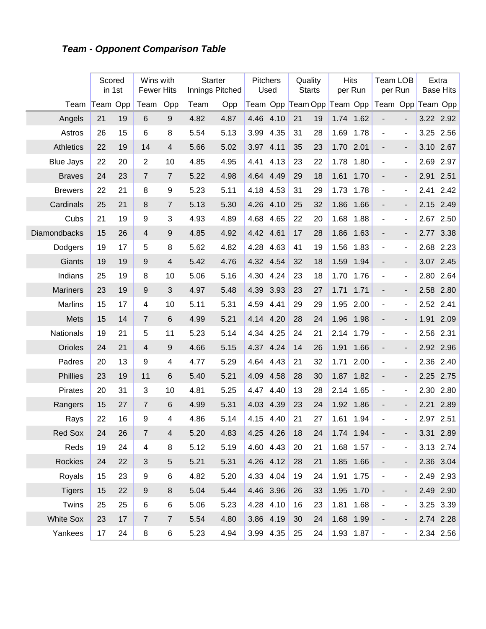# **Team - Opponent Comparison Table**

|                     |    | Scored<br>in 1st | Wins with<br><b>Fewer Hits</b> |                | <b>Starter</b><br>Innings Pitched |      | <b>Pitchers</b>            | Used      |    | Quality<br><b>Starts</b> | <b>Hits</b> | per Run   | <b>Team LOB</b><br>per Run   |                              |      | Extra<br><b>Base Hits</b> |
|---------------------|----|------------------|--------------------------------|----------------|-----------------------------------|------|----------------------------|-----------|----|--------------------------|-------------|-----------|------------------------------|------------------------------|------|---------------------------|
| Team                |    | Team Opp         | Team                           | Opp            | Team                              | Opp  | Team Opp Team Opp Team Opp |           |    |                          |             |           | Team Opp Team Opp            |                              |      |                           |
| Angels              | 21 | 19               | 6                              | 9              | 4.82                              | 4.87 | 4.46                       | 4.10      | 21 | 19                       | 1.74        | 1.62      |                              |                              |      | 3.22 2.92                 |
| Astros              | 26 | 15               | 6                              | 8              | 5.54                              | 5.13 | 3.99                       | 4.35      | 31 | 28                       | 1.69        | 1.78      | $\overline{\phantom{a}}$     | $\blacksquare$               | 3.25 | 2.56                      |
| <b>Athletics</b>    | 22 | 19               | 14                             | 4              | 5.66                              | 5.02 | 3.97                       | 4.11      | 35 | 23                       | 1.70        | 2.01      |                              | $\overline{\phantom{a}}$     | 3.10 | 2.67                      |
| <b>Blue Jays</b>    | 22 | 20               | $\overline{2}$                 | 10             | 4.85                              | 4.95 | 4.41                       | 4.13      | 23 | 22                       | 1.78        | 1.80      | $\blacksquare$               | $\overline{\phantom{m}}$     | 2.69 | 2.97                      |
| <b>Braves</b>       | 24 | 23               | $\overline{7}$                 | $\overline{7}$ | 5.22                              | 4.98 | 4.64                       | 4.49      | 29 | 18                       | 1.61        | 1.70      | $\qquad \qquad \blacksquare$ | $\overline{\phantom{a}}$     | 2.91 | 2.51                      |
| <b>Brewers</b>      | 22 | 21               | 8                              | 9              | 5.23                              | 5.11 | 4.18                       | 4.53      | 31 | 29                       | 1.73        | 1.78      | $\blacksquare$               | $\qquad \qquad \blacksquare$ | 2.41 | 2.42                      |
| Cardinals           | 25 | 21               | 8                              | $\overline{7}$ | 5.13                              | 5.30 | 4.26                       | 4.10      | 25 | 32                       | 1.86        | 1.66      | $\qquad \qquad \blacksquare$ | $\overline{\phantom{a}}$     | 2.15 | 2.49                      |
| Cubs                | 21 | 19               | 9                              | 3              | 4.93                              | 4.89 | 4.68                       | 4.65      | 22 | 20                       | 1.68        | 1.88      | $\overline{\phantom{a}}$     | $\blacksquare$               | 2.67 | 2.50                      |
| <b>Diamondbacks</b> | 15 | 26               | $\overline{4}$                 | 9              | 4.85                              | 4.92 | 4.42                       | 4.61      | 17 | 28                       | 1.86        | 1.63      | $\overline{\phantom{m}}$     | $\overline{\phantom{a}}$     | 2.77 | 3.38                      |
| Dodgers             | 19 | 17               | 5                              | 8              | 5.62                              | 4.82 | 4.28                       | 4.63      | 41 | 19                       | 1.56        | 1.83      | $\overline{\phantom{a}}$     | $\overline{\phantom{m}}$     | 2.68 | 2.23                      |
| Giants              | 19 | 19               | 9                              | 4              | 5.42                              | 4.76 | 4.32                       | 4.54      | 32 | 18                       | 1.59        | 1.94      | $\overline{\phantom{m}}$     | $\overline{\phantom{a}}$     | 3.07 | 2.45                      |
| Indians             | 25 | 19               | 8                              | 10             | 5.06                              | 5.16 | 4.30                       | 4.24      | 23 | 18                       | 1.70        | 1.76      | $\overline{\phantom{a}}$     | $\qquad \qquad \blacksquare$ | 2.80 | 2.64                      |
| <b>Mariners</b>     | 23 | 19               | 9                              | 3              | 4.97                              | 5.48 | 4.39                       | 3.93      | 23 | 27                       | 1.71        | 1.71      |                              | $\overline{\phantom{a}}$     | 2.58 | 2.80                      |
| <b>Marlins</b>      | 15 | 17               | 4                              | 10             | 5.11                              | 5.31 | 4.59                       | 4.41      | 29 | 29                       | 1.95        | 2.00      | $\blacksquare$               | $\blacksquare$               | 2.52 | 2.41                      |
| Mets                | 15 | 14               | $\overline{7}$                 | $\,6$          | 4.99                              | 5.21 | 4.14                       | 4.20      | 28 | 24                       | 1.96        | 1.98      | $\overline{\phantom{m}}$     | $\overline{\phantom{a}}$     | 1.91 | 2.09                      |
| <b>Nationals</b>    | 19 | 21               | 5                              | 11             | 5.23                              | 5.14 | 4.34                       | 4.25      | 24 | 21                       | 2.14        | 1.79      | $\overline{\phantom{a}}$     | $\overline{\phantom{m}}$     | 2.56 | 2.31                      |
| Orioles             | 24 | 21               | $\overline{4}$                 | 9              | 4.66                              | 5.15 | 4.37                       | 4.24      | 14 | 26                       | 1.91        | 1.66      | $\overline{\phantom{m}}$     | $\overline{\phantom{a}}$     |      | 2.92 2.96                 |
| Padres              | 20 | 13               | 9                              | 4              | 4.77                              | 5.29 | 4.64                       | 4.43      | 21 | 32                       | 1.71        | 2.00      | $\overline{\phantom{a}}$     | $\overline{\phantom{m}}$     | 2.36 | 2.40                      |
| <b>Phillies</b>     | 23 | 19               | 11                             | 6              | 5.40                              | 5.21 | 4.09                       | 4.58      | 28 | 30                       | 1.87        | 1.82      | $\overline{\phantom{a}}$     | $\overline{\phantom{a}}$     | 2.25 | 2.75                      |
| Pirates             | 20 | 31               | 3                              | 10             | 4.81                              | 5.25 | 4.47                       | 4.40      | 13 | 28                       | 2.14        | 1.65      | $\blacksquare$               | ä,                           | 2.30 | 2.80                      |
| Rangers             | 15 | 27               | $\overline{7}$                 | $6\phantom{1}$ | 4.99                              | 5.31 | 4.03                       | 4.39      | 23 | 24                       | 1.92        | 1.86      | $\overline{\phantom{m}}$     | $\overline{a}$               | 2.21 | 2.89                      |
| Rays                | 22 | 16               | 9                              | 4              | 4.86                              | 5.14 | 4.15                       | 4.40      | 21 | 27                       | 1.61        | 1.94      | $\blacksquare$               | ÷,                           | 2.97 | 2.51                      |
| Red Sox             | 24 | 26               | $\overline{7}$                 | 4              | 5.20                              | 4.83 | 4.25 4.26                  |           | 18 | 24                       |             | 1.74 1.94 |                              |                              |      | 3.31 2.89                 |
| Reds                | 19 | 24               | 4                              | 8              | 5.12                              | 5.19 | 4.60 4.43                  |           | 20 | 21                       |             | 1.68 1.57 | $\overline{\phantom{a}}$     | $\overline{\phantom{0}}$     |      | 3.13 2.74                 |
| Rockies             | 24 | 22               | 3                              | 5              | 5.21                              | 5.31 | 4.26 4.12                  |           | 28 | 21                       |             | 1.85 1.66 | -                            | $\overline{\phantom{a}}$     |      | 2.36 3.04                 |
| Royals              | 15 | 23               | 9                              | 6              | 4.82                              | 5.20 | 4.33 4.04                  |           | 19 | 24                       |             | 1.91 1.75 | $\blacksquare$               | $\blacksquare$               |      | 2.49 2.93                 |
| <b>Tigers</b>       | 15 | 22               | $\boldsymbol{9}$               | 8              | 5.04                              | 5.44 |                            | 4.46 3.96 | 26 | 33                       |             | 1.95 1.70 | -                            | $\overline{\phantom{a}}$     |      | 2.49 2.90                 |
| Twins               | 25 | 25               | 6                              | 6              | 5.06                              | 5.23 | 4.28 4.10                  |           | 16 | 23                       | 1.81        | 1.68      | $\blacksquare$               | $\overline{\phantom{a}}$     |      | 3.25 3.39                 |
| <b>White Sox</b>    | 23 | 17               | $\overline{7}$                 | $\overline{7}$ | 5.54                              | 4.80 | 3.86 4.19                  |           | 30 | 24                       |             | 1.68 1.99 | -                            | -                            |      | 2.74 2.28                 |
| Yankees             | 17 | 24               | 8                              | 6              | 5.23                              | 4.94 |                            | 3.99 4.35 | 25 | 24                       |             | 1.93 1.87 | $\overline{\phantom{a}}$     | $\overline{\phantom{m}}$     |      | 2.34 2.56                 |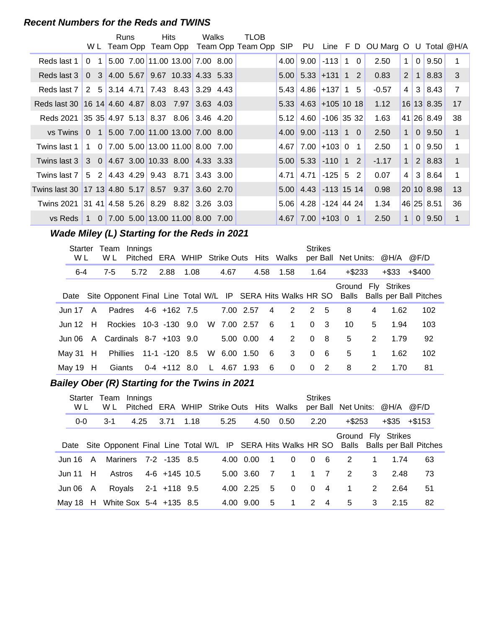#### **Recent Numbers for the Reds and TWINS**

|                                                  |                | Runs | <b>Hits</b>                                    | Walks           | TLOB                                                                          |      |                         |                 |  |         |                 |                |               |                |
|--------------------------------------------------|----------------|------|------------------------------------------------|-----------------|-------------------------------------------------------------------------------|------|-------------------------|-----------------|--|---------|-----------------|----------------|---------------|----------------|
|                                                  |                |      |                                                |                 | WL Team Opp Team Opp Team Opp Team Opp SIP PU Line F D OU Marg O U Total @H/A |      |                         |                 |  |         |                 |                |               |                |
| Reds last 1                                      | 0 <sub>1</sub> |      | 5.00 7.00 11.00 13.00 7.00 8.00                |                 |                                                                               |      | $4.00$ 9.00             | $-113$ 1 0      |  | 2.50    | 1 <sup>1</sup>  | 0 <sup>1</sup> | 9.50          | 1              |
| Reds last 3                                      |                |      | $0$ 3 4.00 5.67 9.67 10.33 4.33 5.33           |                 |                                                                               |      | $5.00$ 5.33 + 131 1 2   |                 |  | 0.83    | 2 <sup>1</sup>  |                | 1 8.83        | 3              |
| Reds last 7                                      |                |      | 2 5 3.14 4.71 7.43 8.43 3.29 4.43              |                 |                                                                               |      | $5.43$ 4.86 + 137 1 5   |                 |  | $-0.57$ | 4 <sup>1</sup>  |                | 3 8.43        | $\overline{7}$ |
| Reds last 30 16 14 4.60 4.87 8.03 7.97 3.63 4.03 |                |      |                                                |                 |                                                                               |      | $5.33$ 4.63 + 105 10 18 |                 |  | 1.12    |                 |                | 16 13 8.35    | 17             |
| Reds 2021                                        |                |      |                                                |                 |                                                                               | 5.12 | 4.60                    | $-106$ 35 32    |  | 1.63    |                 |                | 41 26 8.49    | 38             |
| vs Twins 0 1 5.00 7.00 11.00 13.00 7.00 8.00     |                |      |                                                |                 |                                                                               |      | $4.00$ 9.00 $-113$ 1 0  |                 |  | 2.50    |                 |                | 1 0 9.50      | $\mathbf{1}$   |
| Twins last 1                                     |                |      | 1 0 7.00 5.00 13.00 11.00 8.00 7.00            |                 |                                                                               |      | $4.67$ 7.00 + 103 0 1   |                 |  | 2.50    | 1 <sup>1</sup>  | 0 <sup>1</sup> | 9.50          | 1              |
| Twins last 3 3 0 4.67 3.00 10.33 8.00 4.33 3.33  |                |      |                                                |                 |                                                                               |      | $5.00$ 5.33 $-110$ 1 2  |                 |  | $-1.17$ | 1               |                | $2 \mid 8.83$ | $\mathbf 1$    |
| Twins last 7                                     |                |      | 5 2 4 4 3 4 29 9 4 3 8 71                      | $ 3.43 \t3.00 $ |                                                                               | 4.71 | 4.71                    | $-125$ 5 2      |  | 0.07    | $\vert 4 \vert$ |                | 3 8.64        | 1              |
| Twins last 30 17 13 4.80 5.17 8.57 9.37          |                |      |                                                | $3.60$ 2.70     |                                                                               |      | $5.00$ 4.43 -113 15 14  |                 |  | 0.98    |                 |                | 20 10 8.98    | 13             |
| <b>Twins 2021</b>                                |                |      | $ 31 \t41 4.58 \t5.26 8.29 \t8.82 3.26 \t3.03$ |                 |                                                                               | 5.06 |                         | 4.28 -124 44 24 |  | 1.34    |                 |                | 46 25 8.51    | 36             |
| vs Reds I                                        |                |      | 1 0 7.00 5.00 13.00 11.00 8.00 7.00            |                 |                                                                               |      | $4.67$ 7.00 + 103 0 1   |                 |  | 2.50    | 1 <sup>1</sup>  |                | $0 \mid 9.50$ | 1              |

# **Wade Miley (L) Starting for the Reds in 2021**

|               | Team<br>Innings<br>Starter<br>W L<br>W L |                          |      |  | Pitched ERA WHIP Strike Outs Hits Walks |      |              |             |  |                |                | <b>Strikes</b> |                | per Ball Net Units: @H/A |   |                    | @F/D                                                                                          |
|---------------|------------------------------------------|--------------------------|------|--|-----------------------------------------|------|--------------|-------------|--|----------------|----------------|----------------|----------------|--------------------------|---|--------------------|-----------------------------------------------------------------------------------------------|
| $6 - 4$       |                                          | $7 - 5$                  | 5.72 |  | 2.88                                    | 1.08 |              | 4.67        |  |                | 4.58 1.58      | 1.64           |                | $+$ \$233                |   | +\$33              | +\$400                                                                                        |
|               |                                          |                          |      |  |                                         |      |              |             |  |                |                |                |                |                          |   | Ground Fly Strikes | Date Site Opponent Final Line Total W/L IP SERA Hits Walks HR SO Balls Balls per Ball Pitches |
| Jun 17 $\,$ A |                                          | Padres                   |      |  | $4-6$ +162 7.5                          |      |              | 7.00 2.57   |  | $\overline{4}$ | 2              |                | 2 <sub>5</sub> | 8                        | 4 | 1.62               | 102                                                                                           |
| Jun $12$ H    |                                          |                          |      |  | Rockies 10-3 -130 9.0                   |      |              | W 7.00 2.57 |  | -6             | $\overline{1}$ |                | 0 <sup>3</sup> | 10                       | 5 | 1.94               | 103                                                                                           |
| .Jun 06-      |                                          | A Cardinals 8-7 +103 9.0 |      |  |                                         |      |              | 5.00 0.00   |  | 4              | 2              | $\Omega$       | $_{\rm 8}$     | 5                        | 2 | 1.79               | 92                                                                                            |
| May 31        | H                                        |                          |      |  | Phillies 11-1 -120 8.5                  |      |              | W 6.00 1.50 |  | 6              | 3 <sup>1</sup> | $\Omega$       | - 6            | 5                        | 1 | 1.62               | 102                                                                                           |
| May 19 $H$    |                                          | Giants                   |      |  | 0-4 +112 8.0                            |      | $\mathsf{L}$ | 4.67 1.93   |  | - 6            | $\Omega$       |                | $0\quad 2$     | 8                        | 2 | 1.70               | 81                                                                                            |

# **..........Bailey Ober (R) Starting for the Twins in 2021**

| Starter<br>W L |   | Team<br>W L            | Innings |  |                       |      | Pitched ERA WHIP Strike Outs Hits Walks                                                       |           |      |          | <b>Strikes</b> |                | per Ball Net Units: @H/A |   |       | @F/D   |
|----------------|---|------------------------|---------|--|-----------------------|------|-----------------------------------------------------------------------------------------------|-----------|------|----------|----------------|----------------|--------------------------|---|-------|--------|
| $0 - 0$        |   | $3-1$                  | 4.25    |  | 3.71                  | 1.18 | 5.25                                                                                          |           | 4.50 | 0.50     | 2.20           |                | $+$ \$253                |   | +\$35 | +\$153 |
|                |   |                        |         |  |                       |      | Date Site Opponent Final Line Total W/L IP SERA Hits Walks HR SO Balls Balls per Ball Pitches |           |      |          |                |                | Ground Fly Strikes       |   |       |        |
| Jun 16.        | A |                        |         |  | Mariners 7-2 -135 8.5 |      |                                                                                               | 4.00 0.00 | -1   | $\Omega$ | $\Omega$       | - 6            | 2                        | 1 | 1.74  | 63     |
| Jun 11 $H$     |   | Astros                 |         |  | 4-6 +145 10.5         |      |                                                                                               | 5.00 3.60 | -7   | 1        |                | $1 \quad 7$    | 2                        | 3 | 2.48  | 73     |
| Jun 06         | A |                        |         |  | Royals 2-1 +118 9.5   |      |                                                                                               | 4.00 2.25 | 5    | $\Omega$ | $\Omega$       | $\overline{4}$ | $\overline{1}$           | 2 | 2.64  | 51     |
| Mav 18 H       |   | White Sox 5-4 +135 8.5 |         |  |                       |      | 4.00                                                                                          | 9.00      | -5   | -1       | 2              | $\overline{4}$ | 5                        | 3 | 2.15  | 82     |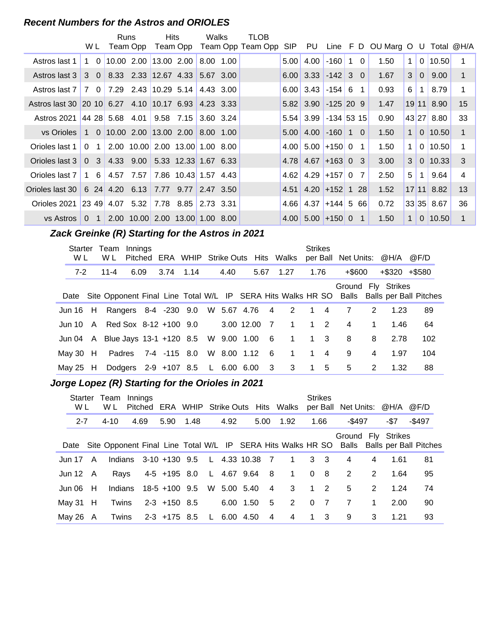#### **Recent Numbers for the Astros and ORIOLES**

|                                                     |                            |                                     | Runs      | <b>Hits</b>                     | Walks |           | TLOB              |      |                         |                   |   |                |                                 |                |                |              |    |
|-----------------------------------------------------|----------------------------|-------------------------------------|-----------|---------------------------------|-------|-----------|-------------------|------|-------------------------|-------------------|---|----------------|---------------------------------|----------------|----------------|--------------|----|
|                                                     | W L                        |                                     | Team Opp  | Team Opp                        |       |           | Team Opp Team Opp | SIP  | PU                      |                   |   |                | Line F D OU Marg O U Total @H/A |                |                |              |    |
| Astros last 1                                       | $1 \quad 0 \mid$           |                                     |           | 10.00 2.00 13.00 2.00           |       | 8.00 1.00 |                   | 5.00 | 4.00                    | $-160$            | 1 | $\Omega$       | 1.50                            | 1              |                | $0$ 10.50    |    |
| Astros last 3                                       | $3\quad0$                  |                                     |           | 8.33 2.33 12.67 4.33 5.67 3.00  |       |           |                   |      | $6.00$ 3.33 -142 3 0    |                   |   |                | 1.67                            | 3 <sup>1</sup> | 0 <sup>1</sup> | 9.00         | 1  |
| Astros last 7                                       |                            | 7 0 7.29 2.43 10.29 5.14 4.43 3.00  |           |                                 |       |           |                   |      | $6.00$ 3.43 $-154$ 6    |                   |   | 1              | 0.93                            | 6              |                | 8.79         |    |
| Astros last 30 20 10 6.27 4.10 10.17 6.93 4.23 3.33 |                            |                                     |           |                                 |       |           |                   |      | $5.82$ 3.90 $-125$ 20 9 |                   |   |                | 1.47                            |                |                | 19 11 8.90   | 15 |
| Astros 2021                                         |                            | 44 28 5.68 4.01                     |           | $9.58$ $7.15$ 3.60 3.24         |       |           |                   | 5.54 |                         | $3.99$ -134 53 15 |   |                | 0.90                            |                |                | 43 27 8.80   | 33 |
| vs Orioles                                          |                            | 1 0 10.00 2.00 13.00 2.00 8.00 1.00 |           |                                 |       |           |                   |      | $5.00$ 4.00 $-160$ 1 0  |                   |   |                | 1.50                            | $\mathbf{1}$   |                | 0 10.50      | 1  |
| Orioles last 1                                      | $\Omega$<br>$\overline{1}$ |                                     |           | 2.00 10.00 2.00 13.00 1.00 8.00 |       |           |                   |      | $4.00$ 5.00 + 150 0     |                   |   | 1              | 1.50                            | 1              |                | $0$ 10.50    | 1  |
| Orioles last 3                                      | 0 <sup>3</sup>             |                                     | 4.33 9.00 | 5.33 12.33 1.67 6.33            |       |           |                   |      | $4.78$ 4.67 +163 0      |                   |   | 3              | 3.00                            | 3              |                | $0$   10.33  | 3  |
| Orioles last 7                                      | 1 6                        |                                     | 4.57 7.57 | 7.86 10.43 1.57 4.43            |       |           |                   | 4.62 |                         | $4.29$ +157 0     |   | 7              | 2.50                            | 5              | 1              | 9.64         | 4  |
| Orioles last 30                                     |                            | $6\;\;24\;\;4.20\;\;6.13$           |           | 7.77 9.77 2.47 3.50             |       |           |                   | 4.51 |                         | $4.20$ +152 1     |   | <b>28</b>      | 1.52                            |                |                | $17$ 11 8.82 | 13 |
| Orioles 2021                                        |                            | 23 49 4.07 5.32 7.78 8.85 2.73 3.31 |           |                                 |       |           |                   | 4.66 |                         | $4.37$ +144 5 66  |   |                | 0.72                            |                |                | 33 35 8.67   | 36 |
| vs Astros                                           | $\Omega$<br>$\overline{1}$ |                                     |           | 2.00 10.00 2.00 13.00 1.00 8.00 |       |           |                   |      | $4.00$ 5.00 +150 0      |                   |   | $\overline{1}$ | 1.50                            | $\mathbf{1}$   |                | $0$ 10.50    | 1  |

#### **Zack Greinke (R) Starting for the Astros in 2021**

| Starter<br>W L | Team<br>W L                                       | Innings<br>Pitched |                     | ERA WHIP Strike Outs Hits Walks          |               |                 |                     | <b>Strikes</b> |            | per Ball Net Units: @H/A |             |                                                                                                                     | @F/D |  |
|----------------|---------------------------------------------------|--------------------|---------------------|------------------------------------------|---------------|-----------------|---------------------|----------------|------------|--------------------------|-------------|---------------------------------------------------------------------------------------------------------------------|------|--|
| 7-2            | $11 - 4$                                          | 6.09               | 3.74 1.14           |                                          | 4.40          | 5.67 1.27       |                     | 1.76           |            | $+$ \$600                |             | $+$ \$320 $+$ \$580                                                                                                 |      |  |
|                |                                                   |                    |                     |                                          |               |                 |                     |                |            |                          |             | Ground Fly Strikes<br>Date Site Opponent Final Line Total W/L IP SERA Hits Walks HR SO Balls Balls per Ball Pitches |      |  |
|                | Jun 16 H Rangers 8-4 -230 9.0 W 5.67 4.76 4 2 1 4 |                    |                     |                                          |               |                 |                     |                |            | 7                        | 2           | 1.23                                                                                                                | 89   |  |
|                | Jun 10 A Red Sox 8-12 +100 9.0                    |                    |                     |                                          | 3.00 12.00 7  |                 | $\overline{1}$      |                | $1\quad 2$ | $\overline{4}$           | $\mathbf 1$ | 1.46                                                                                                                | 64   |  |
|                | Jun 04 A Blue Jays 13-1 +120 8.5 W 9.00 1.00      |                    |                     |                                          |               | $6\overline{6}$ | $1 \quad 1 \quad 3$ |                |            | 8                        | 8           | 2.78                                                                                                                | 102  |  |
| May 30 $H$     |                                                   |                    | Padres 7-4 -115 8.0 |                                          | W 8.00 1.12 6 |                 | $\overline{1}$      | $1 \quad 4$    |            | 9                        | 4           | 1.97                                                                                                                | 104  |  |
| May 25 $H$     |                                                   |                    |                     | Dodgers 2-9 +107 8.5 L 6.00 6.00 3 3 1 5 |               |                 |                     |                |            | 5                        | 2           | 1.32                                                                                                                | 88   |  |

# **..........Jorge Lopez (R) Starting for the Orioles in 2021**

| Starter<br>W L |   | Team<br>W L | Innings | Pitched |                                      |      |             |                | ERA WHIP Strike Outs Hits Walks |          | <b>Strikes</b> | per Ball Net Units: @H/A @F/D |             |      |                                                                                               |
|----------------|---|-------------|---------|---------|--------------------------------------|------|-------------|----------------|---------------------------------|----------|----------------|-------------------------------|-------------|------|-----------------------------------------------------------------------------------------------|
| $2 - 7$        |   | $4 - 10$    |         | 4.69    | 5.90                                 | 1.48 | 4.92        | 5.00           | 1.92                            |          | 1.66           | $-$ \$497                     |             | -\$7 | $-$ \$497                                                                                     |
|                |   |             |         |         |                                      |      |             |                |                                 |          |                | Ground Fly Strikes            |             |      | Date Site Opponent Final Line Total W/L IP SERA Hits Walks HR SO Balls Balls per Ball Pitches |
| Jun 17 A       |   |             |         |         | Indians 3-10 +130 9.5 L 4.33 10.38 7 |      |             |                | $1 \t3 \t3$                     |          |                | 4                             | 4           | 1.61 | 81                                                                                            |
| Jun 12 $\,$ A  |   | Ravs        |         |         | 4-5 +195 8.0 L 4.67 9.64 8           |      |             |                | $\overline{1}$                  | $\Omega$ | 8              | 2                             | 2           | 1.64 | 95                                                                                            |
| Jun 06         | H | Indians     |         |         | 18-5 +100 9.5                        |      | W 5.00 5.40 | $\overline{4}$ | $3^{\circ}$                     |          | $1\quad 2$     | 5                             | 2           | 1.24 | 74                                                                                            |
| May 31 $H$     |   | Twins       |         |         | $2-3$ +150 8.5                       |      | 6.00 1.50   | 5              | $\mathbf{2}$                    | $\Omega$ | $\overline{7}$ | $\overline{7}$                | $\mathbf 1$ | 2.00 | 90                                                                                            |
| May 26 $\,$ A  |   | Twins       |         |         | 2-3 +175 8.5 L 6.00 4.50             |      |             | 4              | 4                               |          | $1 \quad 3$    | 9                             | 3           | 1.21 | 93                                                                                            |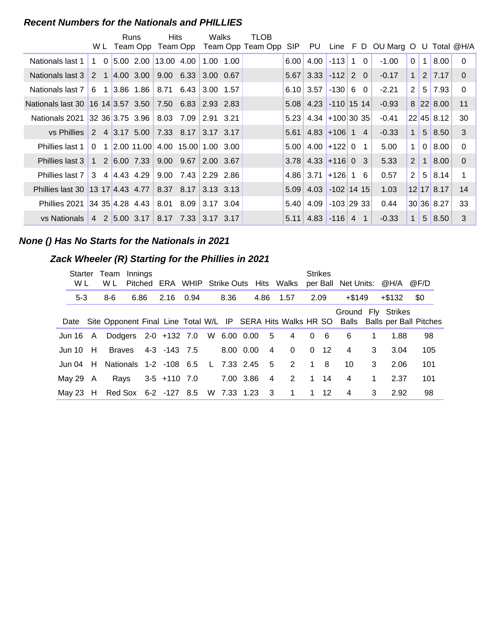#### **Recent Numbers for the Nationals and PHILLIES**

|                                                       |     | W L        | Runs<br>Team Opp | Hits                                                                            | Team Opp | Walks       | TLOB<br>Team Opp Team Opp | SIP. | PU                                       |              |                | Line F D OU Marg O U Total @H/A |                       |                |                       |          |
|-------------------------------------------------------|-----|------------|------------------|---------------------------------------------------------------------------------|----------|-------------|---------------------------|------|------------------------------------------|--------------|----------------|---------------------------------|-----------------------|----------------|-----------------------|----------|
|                                                       |     |            |                  |                                                                                 |          |             |                           |      |                                          |              |                |                                 |                       |                |                       |          |
| Nationals last 1                                      |     | $1\quad 0$ |                  | $\begin{bmatrix} 5.00 & 2.00 & 13.00 & 4.00 \end{bmatrix}$                      |          | $1.00$ 1.00 |                           | 6.00 | 4.00                                     | $-113$ 1     | $\Omega$       | $-1.00$                         | $\cdot$ 0 $^{\prime}$ | $\mathbf 1$    | 8.00                  | $\Omega$ |
| Nationals last 3                                      |     |            |                  | 2 1 4.00 3.00 9.00 6.33 3.00 0.67                                               |          |             |                           | 5.67 | $3.33$ -112 2 0                          |              |                | $-0.17$                         | $\mathbf{1}$          |                | 2 7.17                | $\Omega$ |
| Nationals last 7                                      | 6 1 |            |                  |                                                                                 |          |             |                           |      | $6.10$ 3.57                              | $-130$ 6     | $\Omega$       | $-2.21$                         | $\overline{2}$        |                | $5 \mid 7.93$         | $\Omega$ |
| Nationals last 30 16 14 3.57 3.50 7.50 6.83 2.93 2.83 |     |            |                  |                                                                                 |          |             |                           |      | $5.08$ 4.23 -110 15 14                   |              |                | $-0.93$                         |                       |                | 8 22 8.00             | 11       |
| Nationals 2021                                        |     |            |                  |                                                                                 |          |             |                           | 5.23 | $4.34$ +100 30 35                        |              |                | $-0.41$                         |                       |                | 22 45 8.12            | 30       |
| vs Phillies I                                         |     |            |                  | 2 4 3.17 5.00 7.33 8.17 3.17 3.17                                               |          |             |                           | 5.61 | $4.83 + 106$ 1 4                         |              |                | $-0.33$                         | $\mathbf{1}$          |                | 5 8.50                | 3        |
| <b>Phillies last 1</b>                                |     |            |                  | $0 \quad 1 \quad 2.00 \quad 11.00 \quad 4.00 \quad 15.00 \quad 1.00 \quad 3.00$ |          |             |                           | 5.00 | $4.00$ +122 0                            |              | $\overline{1}$ | 5.00                            | $\mathbf{1}$          | $\overline{0}$ | 8.00                  | $\Omega$ |
| <b>Phillies last 3</b>                                |     |            |                  | 1 2 6.00 7.33 9.00 9.67                                                         |          | 2.00 3.67   |                           |      | $3.78$ 4.33 + 116 0                      |              | -3             | 5.33                            | 2                     | $\overline{1}$ | 8.00                  | $\Omega$ |
| Phillies last 7 3 4 4.43 4.29 9.00 7.43 2.29 2.86     |     |            |                  |                                                                                 |          |             |                           |      | $4.86 \mid 3.71$                         | $+126$ 1     | 6              | 0.57                            | $\overline{2}$        | 5              | 8.14                  | 1        |
| Phillies last 30 13 17 4.43 4.77 8.37 8.17            |     |            |                  |                                                                                 |          | 3.13 3.13   |                           | 5.09 | 4.03 -102 14 15                          |              |                | 1.03                            |                       |                | $12$ 17 8.17          | 14       |
| Phillies 2021                                         |     |            |                  | $ 34 \t35 4.28 \t4.43 \t8.01 \t8.09 \t3.17 \t3.04$                              |          |             |                           | 5.40 | 4.09                                     | $-103$ 29 33 |                | 0.44                            |                       |                | 30 36 8.27            | 33       |
| vs Nationals                                          |     |            |                  | 4 2 5.00 3.17 8.17 7.33 3.17 3.17                                               |          |             |                           |      | $5.11 \mid 4.83 \mid -116 \mid 4 \mid 1$ |              |                | $-0.33$                         | $\mathbf{1}$          |                | $5 \,   \, 8.50 \,  $ | 3        |

#### **None () Has No Starts for the Nationals in 2021**

#### **Zack Wheeler (R) Starting for the Phillies in 2021**

|               | Starter<br>Team<br>W L<br>W L |                                 |  | Innings<br>Pitched | ERA WHIP Strike Outs Hits Walks    |      |               |                |      |                | <b>Strikes</b> |              | per Ball Net Units: @H/A |              |                                                                                                                     | @F/D  |  |
|---------------|-------------------------------|---------------------------------|--|--------------------|------------------------------------|------|---------------|----------------|------|----------------|----------------|--------------|--------------------------|--------------|---------------------------------------------------------------------------------------------------------------------|-------|--|
| $5-3$         |                               | 8-6                             |  | 6.86               | 2.16                               | 0.94 | 8.36          | 4.86           | 1.57 |                | 2.09           |              | $+$ \$149                |              | +\$132                                                                                                              | - \$0 |  |
|               |                               |                                 |  |                    |                                    |      |               |                |      |                |                |              |                          |              | Ground Fly Strikes<br>Date Site Opponent Final Line Total W/L IP SERA Hits Walks HR SO Balls Balls per Ball Pitches |       |  |
| Jun 16 A      |                               |                                 |  |                    | Dodgers 2-0 +132 7.0 W 6.00 0.00 5 |      |               |                |      | $\overline{4}$ | $\Omega$       | - 6          | 6                        | 1            | 1.88                                                                                                                | 98    |  |
| Jun 10 $H$    |                               |                                 |  |                    | Braves 4-3 -143 7.5                |      | 8.00 0.00     | 4              |      | $\Omega$       |                | $0 \t12$     | 4                        | 3            | 3.04                                                                                                                | 105   |  |
|               |                               | Jun 04 H Nationals 1-2 -108 6.5 |  |                    |                                    |      | L 7.33 2.45 5 |                |      | 2              |                | 1 8          | 10                       | 3            | 2.06                                                                                                                | 101   |  |
| May 29 $\,$ A |                               | Rays                            |  |                    | $3-5$ +110 7.0                     |      | 7.00 3.86     | $\overline{4}$ |      | 2              |                | $1 \quad 14$ | 4                        | $\mathbf{1}$ | 2.37                                                                                                                | 101   |  |
| Mav 23 H      |                               |                                 |  |                    | Red Sox 6-2 -127 8.5 W 7.33 1.23 3 |      |               |                |      | $\overline{1}$ |                | $1 \quad 12$ | 4                        | 3            | 2.92                                                                                                                | 98    |  |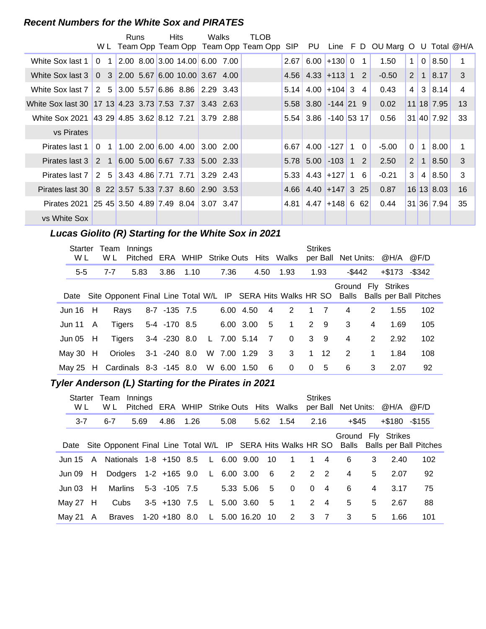#### **Recent Numbers for the White Sox and PIRATES**

|                                                       |                | Runs |  | <b>Hits</b>                                                                    | Walks     | TLOB                                    |      |                         |                   |                |                                        |             |                |            |              |
|-------------------------------------------------------|----------------|------|--|--------------------------------------------------------------------------------|-----------|-----------------------------------------|------|-------------------------|-------------------|----------------|----------------------------------------|-------------|----------------|------------|--------------|
|                                                       |                |      |  |                                                                                |           | W L Team Opp Team Opp Team Opp Team Opp |      |                         |                   |                | SIP PU Line F D OU Marg O U Total @H/A |             |                |            |              |
| White Sox last 1                                      | 0 <sub>1</sub> |      |  | $\vert 2.00 \vert 8.00 \vert 3.00 \vert 14.00 \vert 6.00 \vert 7.00 \vert$     |           |                                         | 2.67 |                         | $6.00 + 13000$    | $\overline{1}$ | 1.50                                   | $\mathbf 1$ |                | 0   8.50   |              |
| White Sox last 3                                      |                |      |  | $0 \quad 3 \quad 2.00 \quad 5.67 \quad 6.00 \quad 10.00 \quad 3.67 \quad 4.00$ |           |                                         |      | $4.56$ 4.33 + 113 1 2   |                   |                | $-0.50$                                | 2           | $\overline{1}$ | 8.17       | 3            |
| White Sox last 7                                      |                |      |  | $2\quad 5\,$ 3.00 5.57 6.86 8.86 2.29 3.43                                     |           |                                         |      | $5.14$ 4.00 + 104 3     |                   | 4              | 0.43                                   | 4           |                | 3 8.14     | 4            |
| White Sox last 30 17 13 4.23 3.73 7.53 7.37 3.43 2.63 |                |      |  |                                                                                |           |                                         |      | $5.58$ 3.80 $-144$ 21 9 |                   |                | 0.02                                   |             |                | 11 18 7.95 | 13           |
| White Sox 2021 43 29 4.85 3.62 8.12 7.21 3.79 2.88    |                |      |  |                                                                                |           |                                         |      | 5.54 3.86 -140 53 17    |                   |                | 0.56                                   |             |                | 31 40 7.92 | 33           |
| vs Pirates                                            |                |      |  |                                                                                |           |                                         |      |                         |                   |                |                                        |             |                |            |              |
| Pirates last 1                                        |                |      |  | $0 \quad 1 \quad 1.00 \quad 2.00 \quad 6.00 \quad 4.00$                        | 3.00 2.00 |                                         | 6.67 |                         | $4.00$ -127 1     | $\Omega$       | $-5.00$                                | $\Omega$    | $\mathbf{1}$   | 8.00       |              |
| Pirates last 3                                        |                |      |  | 2 1 6.00 5.00 6.67 7.33 5.00 2.33                                              |           |                                         |      | $5.78$ 5.00 $-103$ 1 2  |                   |                | 2.50                                   | 2           | $\overline{1}$ | 8.50       | $\mathbf{3}$ |
| Pirates last 7                                        |                |      |  | 2 5 3.43 4.86 7.71 7.71 3.29 2.43                                              |           |                                         |      | $5.33$ 4.43 + 127 1     |                   | 6              | $-0.21$                                | 3           | 4              | 8.50       | 3            |
| Pirates last 30                                       |                |      |  | 8 22 3.57 5.33 7.37 8.60 2.90 3.53                                             |           |                                         |      | $4.66$ 4.40 + 147 3 25  |                   |                | 0.87                                   |             |                | 16 13 8.03 | 16           |
| Pirates 2021                                          |                |      |  |                                                                                |           |                                         | 4.81 |                         | $4.47$ + 148 6 62 |                | 0.44                                   |             |                | 31 36 7.94 | 35           |
| vs White Sox                                          |                |      |  |                                                                                |           |                                         |      |                         |                   |                |                                        |             |                |            |              |

# Lucas Giolito (R) Starting for the White Sox in 2021

| <b>Starter</b><br>W L | Team<br>W L                     | Innings<br>Pitched |                      |      |               |                | <b>ERA WHIP Strike Outs Hits Walks</b> | <b>Strikes</b> |        |             | per Ball Net Units: @H/A @F/D |                                                                                               |
|-----------------------|---------------------------------|--------------------|----------------------|------|---------------|----------------|----------------------------------------|----------------|--------|-------------|-------------------------------|-----------------------------------------------------------------------------------------------|
| $5-5$                 | 7-7                             | 5.83               | 3.86                 | 1.10 | 7.36          | 4.50           | 1.93                                   | 1.93           | -\$442 |             | $+\$173 - \$342$              |                                                                                               |
|                       |                                 |                    |                      |      |               |                |                                        |                |        |             | Ground Fly Strikes            | Date Site Opponent Final Line Total W/L IP SERA Hits Walks HR SO Balls Balls per Ball Pitches |
| Jun $16$ H            | Rays                            |                    | 8-7 -135 7.5         |      | 6.00 4.50     | 4              | 2                                      | $1 \quad 7$    | 4      | 2           | 1.55                          | 102                                                                                           |
| Jun 11 $\,$ A         |                                 |                    | Tigers 5-4 -170 8.5  |      | 6.00 3.00 5   |                | $\overline{1}$                         | $2 \quad 9$    | 3      | 4           | 1.69                          | 105                                                                                           |
| Jun 05 $H$            |                                 |                    | Tigers 3-4 -230 8.0  |      | L 7.00 5.14   | $\overline{7}$ | $\overline{0}$                         | $3 \quad 9$    | 4      | 2           | 2.92                          | 102                                                                                           |
| May 30 $H$            |                                 |                    | Orioles 3-1 -240 8.0 |      | W 7.00 1.29 3 |                | $3^{\circ}$                            | $1 \quad 12$   | 2      | $\mathbf 1$ | 1.84                          | 108                                                                                           |
|                       | May 25 H Cardinals 8-3 -145 8.0 |                    |                      |      | W 6.00 1.50   | - 6            | $\mathbf{0}$                           | 0 <sub>5</sub> | 6      | 3           | 2.07                          | 92                                                                                            |

# **Tyler Anderson (L) Starting for the Pirates in 2021**

| W L        | Starter Team<br>W L                         | Innings |                                    |      |      |              |      | Pitched ERA WHIP Strike Outs Hits Walks |             | <b>Strikes</b> | per Ball Net Units: @H/A |   |                     | @F/D                                                                                          |
|------------|---------------------------------------------|---------|------------------------------------|------|------|--------------|------|-----------------------------------------|-------------|----------------|--------------------------|---|---------------------|-----------------------------------------------------------------------------------------------|
| $3 - 7$    | $6 - 7$                                     | 5.69    | 4.86                               | 1.26 | 5.08 |              |      | 5.62 1.54                               | 2.16        |                | $+$ \$45                 |   | $+$ \$180 $-$ \$155 |                                                                                               |
|            |                                             |         |                                    |      |      |              |      |                                         |             |                | Ground Fly Strikes       |   |                     | Date Site Opponent Final Line Total W/L IP SERA Hits Walks HR SO Balls Balls per Ball Pitches |
|            | Jun 15 A Nationals 1-8 +150 8.5 L 6.00 9.00 |         |                                    |      |      |              | - 10 | $\overline{1}$                          |             | $1 \quad 4$    | 6                        | 3 | 2.40                | 102                                                                                           |
| Jun 09 H   |                                             |         | Dodgers 1-2 +165 9.0 L 6.00 3.00 6 |      |      |              |      | $2 \quad 2 \quad 2$                     |             |                | 4                        | 5 | 2.07                | 92                                                                                            |
| Jun 03 H   |                                             |         | Marlins 5-3 -105 7.5               |      |      | 5.33 5.06 5  |      | $\Omega$                                | $\Omega$    | $\overline{4}$ | 6                        | 4 | 3.17                | 75                                                                                            |
| May 27 $H$ | Cubs                                        |         | 3-5 +130 7.5 L                     |      |      | 5.00 3.60 5  |      | $\overline{1}$                          |             | $2 \quad 4$    | 5                        | 5 | 2.67                | 88                                                                                            |
| May 21 A   |                                             |         | Braves 1-20 +180 8.0               |      |      | L 5.00 16.20 | 10   | 2                                       | $3 \quad 7$ |                | 3                        | 5 | 1.66                | 101                                                                                           |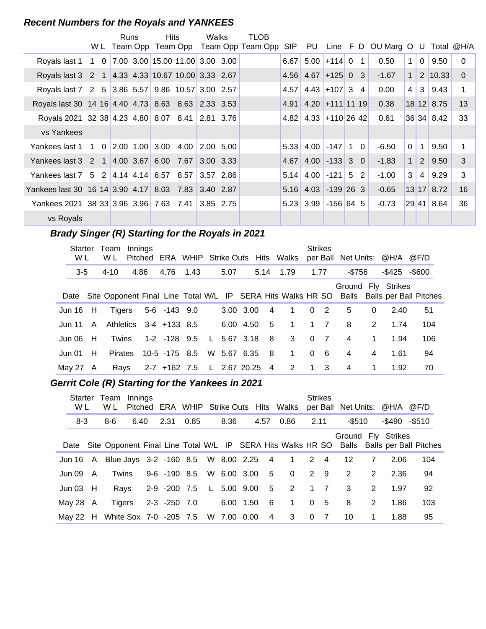#### **Recent Numbers for the Royals and YANKEES**

|                                                     |               | Runs |                    | Hits                                                                            | Walks           | TLOB                                   |      |                       |                   |            |                      |                |                |              |                |
|-----------------------------------------------------|---------------|------|--------------------|---------------------------------------------------------------------------------|-----------------|----------------------------------------|------|-----------------------|-------------------|------------|----------------------|----------------|----------------|--------------|----------------|
|                                                     |               |      |                    |                                                                                 |                 | WL Team Opp Team Opp Team Opp Team Opp |      | SIP PU                |                   |            | Line F D OU Marg O U |                |                |              | Total @H/A     |
| Royals last 1                                       |               |      |                    | $1 \quad 0 \quad 7.00 \quad 3.00 \quad 15.00 \quad 11.00 \quad 3.00 \quad 3.00$ |                 |                                        | 6.67 |                       | $5.00$ +114 0 1   |            | 0.50                 | $\mathbf{1}$   | $\overline{0}$ | 9.50         | $\Omega$       |
| Royals last 3 2 1 4.33 4.33 10.67 10.00 3.33 2.67   |               |      |                    |                                                                                 |                 |                                        |      | $4.56$ 4.67           | $ +125 03$        |            | $-1.67$              | 1 <sup>1</sup> |                | 2 10.33      | $\overline{0}$ |
| Royals last 7 2 5 3.86 5.57 9.86 10.57 3.00 2.57    |               |      |                    |                                                                                 |                 |                                        | 4.57 |                       | $4.43$ +107 3 4   |            | 0.00                 | 4              | 3              | 9.43         |                |
| Royals last 30 14 16 4.40 4.73 8.63 8.63 2.33 3.53  |               |      |                    |                                                                                 |                 |                                        | 4.91 |                       | $4.20$ +111 11 19 |            | 0.38                 |                |                | $18$ 12 8.75 | 13             |
| Royals 2021 32 38 4.23 4.80 8.07 8.41 2.81 3.76     |               |      |                    |                                                                                 |                 |                                        | 4.82 |                       | $4.33$ +110 26 42 |            | 0.61                 |                |                | 36 34 8.42   | 33             |
| vs Yankees                                          |               |      |                    |                                                                                 |                 |                                        |      |                       |                   |            |                      |                |                |              |                |
| Yankees last 1                                      |               |      | 1 0 2.00 1.00 3.00 | $4.00$ 2.00 5.00                                                                |                 |                                        | 5.33 |                       | $4.00$ -147       | $1\quad 0$ | $-6.50$              | $\mathbf 0$    | $\mathbf{1}$   | 9.50         |                |
| Yankees last 3                                      | 2 1 4.00 3.67 |      |                    | 6.00 7.67                                                                       | $3.00$ 3.33     |                                        | 4.67 |                       | $4.00$ -133 3 0   |            | $-1.83$              | 1 <sup>1</sup> | 2 <sup>1</sup> | 9.50         | 3              |
| Yankees last 7   5   2   4.14   4.14   6.57   8.57  |               |      |                    |                                                                                 | $ 3.57 \t2.86 $ |                                        | 5.14 |                       | $4.00$ -121 5 2   |            | $-1.00$              | 3              | $\overline{4}$ | 9.29         | 3              |
| Yankees last 30 16 14 3.90 4.17 8.03 7.83 3.40 2.87 |               |      |                    |                                                                                 |                 |                                        |      | $5.16$ 4.03 -139 26 3 |                   |            | $-0.65$              |                |                | 13 17 8.72   | 16             |
| Yankees 2021 38 33 3.96 3.96 7.63 7.41 3.85 2.75    |               |      |                    |                                                                                 |                 |                                        |      | $5.23$ 3.99 -156 64 5 |                   |            | $-0.73$              |                |                | 29 41 8.64   | 36             |
| vs Royals                                           |               |      |                    |                                                                                 |                 |                                        |      |                       |                   |            |                      |                |                |              |                |

# **Brady Singer (R) Starting for the Royals in 2021**

| Starter<br>W L |              | Team<br>W L    | Innings |                             |              |             |           |     | Pitched ERA WHIP Strike Outs Hits Walks |          | <b>Strikes</b> |         |              | per Ball Net Units: @H/A @F/D |                                                                                               |
|----------------|--------------|----------------|---------|-----------------------------|--------------|-------------|-----------|-----|-----------------------------------------|----------|----------------|---------|--------------|-------------------------------|-----------------------------------------------------------------------------------------------|
| $3-5$          |              | $4 - 10$       | 4.86    | 4.76 1.43                   |              | 5.07        |           |     | 5.14 1.79                               |          | 1.77           | $-$756$ |              | -\$425                        | -\$600                                                                                        |
|                |              |                |         |                             |              |             |           |     |                                         |          |                |         |              | Ground Fly Strikes            | Date Site Opponent Final Line Total W/L IP SERA Hits Walks HR SO Balls Balls per Ball Pitches |
| Jun 16         | H            | Tigers         |         | 5-6 -143 9.0                |              |             | 3.00 3.00 | 4   | $\mathbf{1}$                            |          | 0 <sub>2</sub> | 5       | $\Omega$     | 2.40                          | 51                                                                                            |
| Jun 11         | $\mathsf{A}$ |                |         | Athletics 3-4 +133 8.5      |              |             | 6.00 4.50 | 5   | $\overline{1}$                          |          | $1 \quad 7$    | 8       | 2            | 1.74                          | 104                                                                                           |
| Jun 06         | H            | Twins          |         | 1-2 -128 9.5                | $\mathsf{L}$ | 5.67 3.18   |           | - 8 | $\mathbf{3}$                            |          | 0 <sub>7</sub> | 4       | $\mathbf 1$  | 1.94                          | 106                                                                                           |
| Jun 01         | H            | <b>Pirates</b> |         | $10-5$ $-175$ 8.5           |              | W 5.67 6.35 |           | - 8 | $\mathbf{1}$                            | $\Omega$ | 6              | 4       | 4            | 1.61                          | 94                                                                                            |
| Mav 27         | A            | Rays           |         | 2-7 +162 7.5 L 2.67 20.25 4 |              |             |           |     | $\overline{\phantom{a}}$ 2              |          | $1 \quad 3$    | 4       | $\mathbf{1}$ | 1.92                          | 70                                                                                            |

# **..........Gerrit Cole (R) Starting for the Yankees in 2021**

| Starter<br>W L |   | Team<br>W L                                     | Innings |              | Pitched ERA WHIP Strike Outs Hits Walks |           |                 |                         |              | <b>Strikes</b> |        |                | per Ball Net Units: @H/A @F/D |                                                                                               |
|----------------|---|-------------------------------------------------|---------|--------------|-----------------------------------------|-----------|-----------------|-------------------------|--------------|----------------|--------|----------------|-------------------------------|-----------------------------------------------------------------------------------------------|
| $8 - 3$        |   | 8-6                                             | 6.40    | 2.31         | 0.85                                    | 8.36      | 4.57            | 0.86                    | 2.11         |                | -\$510 |                | $-$ \$490 $-$ \$510           |                                                                                               |
|                |   |                                                 |         |              |                                         |           |                 |                         |              |                |        |                | Ground Fly Strikes            | Date Site Opponent Final Line Total W/L IP SERA Hits Walks HR SO Balls Balls per Ball Pitches |
|                |   | Jun 16 A Blue Jays 3-2 -160 8.5 W 8.00 2.25 4 1 |         |              |                                         |           |                 |                         | $2 \quad 4$  |                | 12     | $\overline{7}$ | 2.06                          | 104                                                                                           |
| Jun 09         | A | Twins                                           |         |              | 9-6 -190 8.5 W 6.00 3.00 5              |           |                 | $\overline{\mathbf{0}}$ |              | $2 \quad 9$    | 2      | 2              | 2.36                          | 94                                                                                            |
| Jun 03 $H$     |   |                                                 |         |              | Rays 2-9 -200 7.5 L 5.00 9.00 5         |           |                 | $\overline{2}$          |              | $1 \quad 7$    | 3      | 2              | 1.97                          | 92                                                                                            |
| May 28 $\,$ A  |   | Tigers                                          |         | 2-3 -250 7.0 |                                         | 6.00 1.50 | $6\overline{6}$ | $\overline{1}$          | $\Omega$     | - 5            | 8      | 2              | 1.86                          | 103                                                                                           |
|                |   | May 22 H White Sox 7-0 -205 7.5 W 7.00 0.00     |         |              |                                         |           | $\overline{4}$  | 3                       | $\mathbf{0}$ | $\overline{7}$ | 10     | 1              | 1.88                          | 95                                                                                            |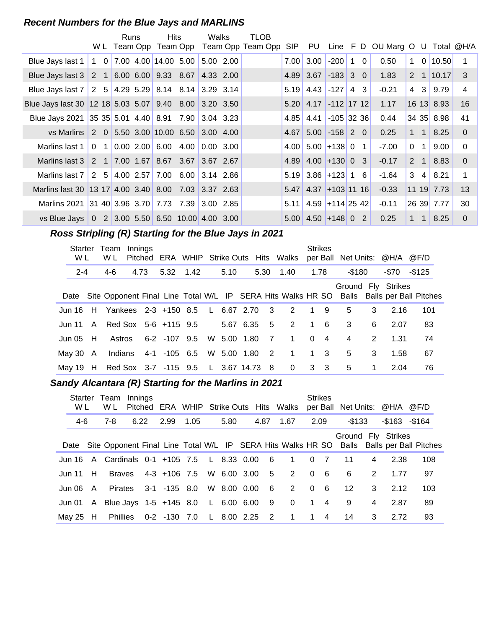#### **Recent Numbers for the Blue Jays and MARLINS**

|                                                                                |                | Runs | <b>Hits</b><br>W L Team Opp Team Opp                     | <b>Walks</b> | TLOB<br>Team Opp Team Opp | <b>SIP</b> | PU                      |                 |                |      | Line F D OU Marg O U |                |                | Total @H/A     |                         |
|--------------------------------------------------------------------------------|----------------|------|----------------------------------------------------------|--------------|---------------------------|------------|-------------------------|-----------------|----------------|------|----------------------|----------------|----------------|----------------|-------------------------|
|                                                                                |                |      |                                                          |              |                           |            |                         |                 |                |      |                      |                |                |                |                         |
| Blue Jays last 1                                                               |                |      | $1 \quad 0 \quad 7.00 \quad 4.00 \quad 14.00 \quad 5.00$ | 5.00 2.00    |                           |            | $7.00$ 3.00             | $-200$ 1 0      |                |      | 0.50                 | 1              |                | $0 \mid 10.50$ |                         |
| Blue Jays last 3 2 1 6.00 6.00 9.33 8.67                                       |                |      |                                                          | 4.33 2.00    |                           |            | $4.89$ 3.67 $-183$ 3 0  |                 |                |      | 1.83                 | 2 <sup>1</sup> |                | 1   10.17      | $\overline{\mathbf{3}}$ |
| Blue Jays last 7   2 $\,$ 5   4.29 $\,$ 5.29   8.14 $\,$ 8.14   3.29 $\,$ 3.14 |                |      |                                                          |              |                           |            | $5.19$ 4.43 -127        |                 | $\overline{4}$ | 3    | $-0.21$              | 4              | 3              | 9.79           | 4                       |
| Blue Jays last 30 12 18 5.03 5.07 9.40 8.00 3.20 3.50                          |                |      |                                                          |              |                           |            | $5.20$ 4.17 -112 17 12  |                 |                |      | 1.17                 |                |                | $16$ 13 8.93   | 16                      |
| Blue Jays 2021 35 35 5.01 4.40 8.91 7.90 3.04 3.23                             |                |      |                                                          |              |                           | 4.85       |                         | 4.41 -105 32 36 |                |      | 0.44                 |                |                | 34 35 8.98     | 41                      |
| vs Marlins 2 0 5.50 3.00 10.00 6.50 3.00 4.00                                  |                |      |                                                          |              |                           | 4.67       |                         | $5.00$ -158 2 0 |                |      | 0.25                 | 1 <sup>1</sup> | $\overline{1}$ | 8.25           | $\Omega$                |
| Marlins last 1                                                                 | 0 <sub>1</sub> |      |                                                          | 0.003.00     |                           |            | $4.00$ 5.00 + 138 0     |                 |                | $-1$ | $-7.00$              | 0              | $\mathbf{1}$   | 9.00           | $\Omega$                |
| Marlins last 3                                                                 |                |      | 2 1 7.00 1.67 8.67 3.67 3.67 2.67                        |              |                           |            | $4.89$ 4.00 + 130 0 3   |                 |                |      | $-0.17$              | $\overline{2}$ | $\mathbf{1}$   | 8.83           | $\Omega$                |
| Marlins last 7                                                                 |                |      | 2 5 4.00 2.57 7.00 6.00 3.14 2.86                        |              |                           |            | $5.19$ 3.86 + 123 1 6   |                 |                |      | $-1.64$              | 3              | $\overline{4}$ | 8.21           | 1.                      |
| Marlins last 30 13 17 4.00 3.40 8.00 7.03 3.37 2.63                            |                |      |                                                          |              |                           |            | $5.47$ 4.37 + 103 11 16 |                 |                |      | $-0.33$              |                |                | $11$ 19 7.73   | 13                      |
| Marlins 2021                                                                   |                |      | 3140 3.963.70 7.737.39 3.002.85                          |              |                           | 5.11       | $4.59$ +114 25 42       |                 |                |      | $-0.11$              |                |                | 26 39 7.77     | 30                      |
| vs Blue Jays 0 2 3.00 5.50 6.50 10.00 4.00 3.00                                |                |      |                                                          |              |                           |            | $5.00$ 4.50 + 148 0     |                 |                | 2    | 0.25                 | $\mathbf{1}$   | $\mathbf{1}$   | 8.25           | $\Omega$                |

# **..........Ross Stripling (R) Starting for the Blue Jays in 2021**

| W L     |   | Starter Team<br>W L                          | Innings |      | Pitched ERA WHIP Strike Outs Hits Walks |  |             |                         |      |                | <b>Strikes</b> |                |        |   | per Ball Net Units: @H/A @F/D                                                                                       |         |  |
|---------|---|----------------------------------------------|---------|------|-----------------------------------------|--|-------------|-------------------------|------|----------------|----------------|----------------|--------|---|---------------------------------------------------------------------------------------------------------------------|---------|--|
| $2 - 4$ |   | 4-6                                          |         | 4.73 | 5.32 1.42                               |  | 5.10        | 5.30                    | 1.40 |                | 1.78           |                | -\$180 |   | -\$70                                                                                                               | $-$125$ |  |
|         |   |                                              |         |      |                                         |  |             |                         |      |                |                |                |        |   | Ground Fly Strikes<br>Date Site Opponent Final Line Total W/L IP SERA Hits Walks HR SO Balls Balls per Ball Pitches |         |  |
|         |   | Jun 16 H Yankees 2-3 +150 8.5 L 6.67 2.70    |         |      |                                         |  |             | $\overline{\mathbf{3}}$ |      | 2              | 19             |                | 5      | 3 | 2.16                                                                                                                | 101     |  |
| Jun 11  |   | A Red Sox 5-6 +115 9.5                       |         |      |                                         |  | 5.67 6.35   | 5 <sup>5</sup>          |      | 2              | 1 6            |                | 3      | 6 | 2.07                                                                                                                | 83      |  |
| Jun 05  | H | Astros                                       |         |      | 6-2 -107 9.5                            |  | W 5.00 1.80 | $\overline{7}$          |      | $\overline{1}$ | $\Omega$       | $\overline{4}$ | 4      | 2 | 1.31                                                                                                                | 74      |  |
| Mav 30  | A | Indians                                      |         |      | 4-1 -105 6.5 W 5.00 1.80                |  |             | $\overline{2}$          |      | $\overline{1}$ | 1 3            |                | 5      | 3 | 1.58                                                                                                                | 67      |  |
|         |   | May 19 H Red Sox 3-7 -115 9.5 L 3.67 14.73 8 |         |      |                                         |  |             |                         |      | $\mathbf{0}$   | 3 <sup>3</sup> |                | 5      | 1 | 2.04                                                                                                                | 76      |  |

# Sandy Alcantara (R) Starting for the Marlins in 2021

| W L      | Starter Team<br>W L           | Innings |      |                                     |      |             |                 | Pitched ERA WHIP Strike Outs Hits Walks             |          | <b>Strikes</b> | per Ball Net Units: @H/A @F/D |   |                |                                                                                               |
|----------|-------------------------------|---------|------|-------------------------------------|------|-------------|-----------------|-----------------------------------------------------|----------|----------------|-------------------------------|---|----------------|-----------------------------------------------------------------------------------------------|
| 4-6      | 7-8                           |         | 6.22 | 2.99                                | 1.05 | 5.80        | 4.87            | 1.67                                                |          | 2.09           | -\$133                        |   | $-$163 - $164$ |                                                                                               |
|          |                               |         |      |                                     |      |             |                 |                                                     |          |                | Ground Fly Strikes            |   |                | Date Site Opponent Final Line Total W/L IP SERA Hits Walks HR SO Balls Balls per Ball Pitches |
|          |                               |         |      |                                     |      |             |                 | Jun 16 A Cardinals 0-1 +105 7.5 L 8.33 0.00 6 1 0 7 |          |                | 11                            | 4 | 2.38           | 108                                                                                           |
| Jun 11 H |                               |         |      | Braves 4-3 +106 7.5 W 6.00 3.00 5   |      |             |                 | $2 \quad 0$                                         |          | - 6            | -6                            | 2 | 1.77           | 97                                                                                            |
|          | Jun 06 A Pirates 3-1 -135 8.0 |         |      |                                     |      | W 8.00 0.00 | $6\overline{6}$ | $\overline{2}$                                      | $\Omega$ | - 6            | $12 \,$                       | 3 | 2.12           | 103                                                                                           |
|          |                               |         |      |                                     |      |             |                 | Jun 01 A Blue Jays 1-5 +145 8.0 L 6.00 6.00 9 0 1 4 |          |                | 9                             | 4 | 2.87           | 89                                                                                            |
| May 25 H |                               |         |      | Phillies 0-2 -130 7.0 L 8.00 2.25 2 |      |             |                 | $\overline{1}$                                      |          | $1 \quad 4$    | 14                            | 3 | 2.72           | 93                                                                                            |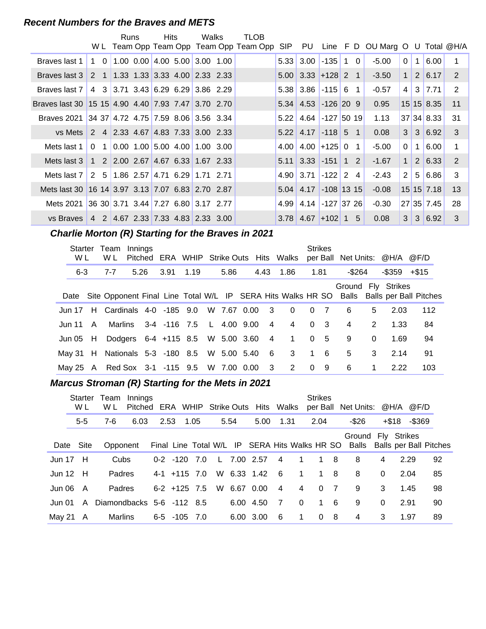#### **Recent Numbers for the Braves and METS**

|                                                    |                                                                               | Runs | Hits | Walks | TLOB                                    |      |                                |                 |  |                                        |                |                |                           |             |
|----------------------------------------------------|-------------------------------------------------------------------------------|------|------|-------|-----------------------------------------|------|--------------------------------|-----------------|--|----------------------------------------|----------------|----------------|---------------------------|-------------|
|                                                    |                                                                               |      |      |       | W L Team Opp Team Opp Team Opp Team Opp |      |                                |                 |  | SIP PU Line F D OU Marg O U Total @H/A |                |                |                           |             |
| Braves last 1                                      | $1 \quad 0 \quad 1.00 \quad 0.00 \quad 4.00 \quad 5.00 \quad 3.00 \quad 1.00$ |      |      |       |                                         |      | $5.33 \mid 3.00 \mid$          | $-135$ 1 0      |  | $-5.00$                                | 0 <sup>1</sup> | 1 <sup>1</sup> | 6.00                      | 1           |
| Braves last 3                                      |                                                                               |      |      |       |                                         |      | $5.00$ 3.33 + 128 2 1          |                 |  | $-3.50$                                |                |                | $1 \mid 2 \mid 6.17 \mid$ | 2           |
| Braves last 7                                      | 4 3 3 3.71 3.43 6.29 6.29 3.86 2.29                                           |      |      |       |                                         |      | $5.38$ 3.86 $-115$ 6 1         |                 |  | $-0.57$                                | 4 <sup>1</sup> |                | 3 7.71                    | 2           |
| Braves last 30 15 15 4.90 4.40 7.93 7.47 3.70 2.70 |                                                                               |      |      |       |                                         |      | $5.34$ 4.53 -126 20 9          |                 |  | 0.95                                   |                |                | 15 15 8.35                | 11          |
| Braves 2021 34 37 4.72 4.75 7.59 8.06 3.56 3.34    |                                                                               |      |      |       |                                         | 5.22 |                                | 4.64 -127 50 19 |  | 1.13                                   |                |                | 37 34 8.33                | 31          |
| vs Mets                                            | 2 4 2.33 4.67 4.83 7.33 3.00 2.33                                             |      |      |       |                                         |      | $5.22$   4.17   -118   5 1     |                 |  | 0.08                                   |                |                | $3 \mid 3 \mid 6.92 \mid$ | 3           |
| Mets last 1                                        | $0$ 1 0.00 1.00 5.00 4.00 1.00 3.00                                           |      |      |       |                                         |      | $4.00$   $4.00$   $+125$   0 1 |                 |  | $-5.00$                                | $\Omega$       | 1 <sup>1</sup> | 6.00                      | $\mathbf 1$ |
| Mets last 3                                        | 1 2 2.00 2.67 4.67 6.33 1.67 2.33                                             |      |      |       |                                         |      | $5.11$ 3.33 -151 1 2           |                 |  | $-1.67$                                | 1 <sup>1</sup> |                | $2 \mid 6.33 \mid$        | 2           |
| Mets last 7                                        | 2 5 1.86 2.57 4.71 6.29 1.71 2.71                                             |      |      |       |                                         |      | $4.90 \mid 3.71$               | $-122$ 2 4      |  | $-2.43$                                | 2              | 5 <sup>1</sup> | 6.86                      | 3           |
| Mets last 30 16 14 3.97 3.13 7.07 6.83 2.70 2.87   |                                                                               |      |      |       |                                         |      | $5.04$ 4.17 -108 13 15         |                 |  | $-0.08$                                |                |                | $15 \, 15 \, 7.18$        | 13          |
| Mets 2021                                          | 36 30 3.71 3.44 7.27 6.80 3.17 2.77                                           |      |      |       |                                         |      | 4.99 4.14 -127 37 26           |                 |  | $-0.30$                                |                |                | 27 35 7.45                | 28          |
| vs Braves 4 2 4.67 2.33 7.33 4.83 2.33 3.00        |                                                                               |      |      |       |                                         |      | $3.78$ 4.67 + 102 1 5          |                 |  | 0.08                                   | 3 <sup>1</sup> |                | 3 6.92                    | 3           |

# **..........Charlie Morton (R) Starting for the Braves in 2021**

| Starter<br>W L | Team<br>W L                               | Innings |      |      | Pitched ERA WHIP Strike Outs Hits Walks |             |                         |   |                |      | <b>Strikes</b> |        |              | per Ball Net Units: @H/A @F/D                                                                                       |       |  |
|----------------|-------------------------------------------|---------|------|------|-----------------------------------------|-------------|-------------------------|---|----------------|------|----------------|--------|--------------|---------------------------------------------------------------------------------------------------------------------|-------|--|
| $6 - 3$        | $7 - 7$                                   |         | 5.26 | 3.91 | 1.19                                    | 5.86        |                         |   | 4.43 1.86      | 1.81 |                | -\$264 |              | -\$359                                                                                                              | +\$15 |  |
|                |                                           |         |      |      |                                         |             |                         |   |                |      |                |        |              | Ground Fly Strikes<br>Date Site Opponent Final Line Total W/L IP SERA Hits Walks HR SO Balls Balls per Ball Pitches |       |  |
|                | Jun 17 H Cardinals 4-0 -185 9.0           |         |      |      |                                         | W 7.67 0.00 | $\overline{\mathbf{3}}$ |   | $\Omega$       |      | 0 <sub>7</sub> | 6      | 5            | 2.03                                                                                                                | 112   |  |
| Jun 11 A       |                                           |         |      |      | Marlins 3-4 -116 7.5 L                  | 4.00 9.00   |                         | 4 | 4              |      | 0 <sup>3</sup> | 4      | 2            | 1.33                                                                                                                | 84    |  |
| Jun 05 $H$     |                                           |         |      |      | Dodgers 6-4 +115 8.5 W 5.00 3.60        |             | $\overline{4}$          |   | $\overline{1}$ |      | 0 <sub>5</sub> | 9      | $\mathbf{0}$ | 1.69                                                                                                                | 94    |  |
| Mav 31 H       |                                           |         |      |      | Nationals 5-3 -180 8.5 W 5.00 5.40      |             |                         | 6 | $3^{\circ}$    |      | $1 \quad 6$    | 5      | 3            | 2.14                                                                                                                | 91    |  |
|                | May 25 A Red Sox 3-1 -115 9.5 W 7.00 0.00 |         |      |      |                                         |             | $\overline{\mathbf{3}}$ |   | 2              |      | 0 <sub>9</sub> | 6      | 1            | 2.22                                                                                                                | 103   |  |

#### **Marcus Stroman (R) Starting for the Mets in 2021**

|               | <b>Starter</b><br>W L | Team<br>W L               | Innings<br>Pitched ERA WHIP Strike Outs Hits Walks |      |                    |      |      |             |                |                | <b>Strikes</b> |                | per Ball Net Units: @H/A @F/D                                                                    |          |                    |    |
|---------------|-----------------------|---------------------------|----------------------------------------------------|------|--------------------|------|------|-------------|----------------|----------------|----------------|----------------|--------------------------------------------------------------------------------------------------|----------|--------------------|----|
|               | $5-5$                 | $7-6$                     | 6.03                                               | 2.53 |                    | 1.05 | 5.54 | 5.00        | 1.31           |                | 2.04           |                | -\$26                                                                                            |          | $-$ \$369<br>+\$18 |    |
|               | Date Site             | Opponent                  |                                                    |      |                    |      |      |             |                |                |                |                | Ground Fly Strikes<br>Final Line Total W/L IP SERA Hits Walks HR SO Balls Balls per Ball Pitches |          |                    |    |
| <b>Jun 17</b> | - H                   | Cubs                      |                                                    |      | $0-2$ $-120$ 7.0   |      |      | L 7.00 2.57 | $\overline{4}$ | $\overline{1}$ | 1 8            |                | 8                                                                                                | 4        | 2.29               | 92 |
| <b>Jun 12</b> | H                     | Padres                    |                                                    |      | $4-1$ +115 7.0     |      |      | W 6.33 1.42 | - 6            | $\overline{1}$ | 1 8            |                | 8                                                                                                | $\Omega$ | 2.04               | 85 |
| Jun 06        | A                     | Padres                    |                                                    |      | $6-2$ +125 7.5     |      |      | W 6.67 0.00 | $\overline{4}$ | $\overline{4}$ | $\Omega$       | $\overline{7}$ | 9                                                                                                | 3        | 1.45               | 98 |
| Jun 01        | $\mathsf{A}$          | Diamondbacks 5-6 -112 8.5 |                                                    |      |                    |      |      | 6.00 4.50   | $\overline{7}$ | $\Omega$       |                | 1 6            | 9                                                                                                | $\Omega$ | 2.91               | 90 |
| Mav 21        | A                     | Marlins                   |                                                    |      | $6-5$ $-105$ $7.0$ |      |      | 6.00 3.00   | -6             | 1              | 0              | - 8            | 4                                                                                                | 3        | 1.97               | 89 |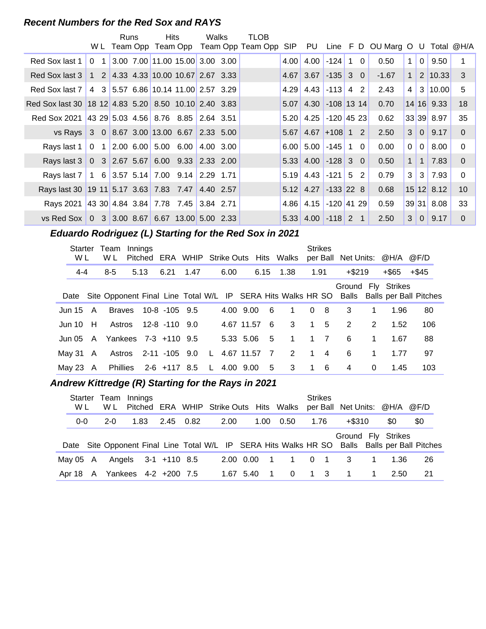#### **Recent Numbers for the Red Sox and RAYS**

|                                                      |                                     | Runs | <b>Hits</b> |                                                                                 | Walks     | TLOB                                |      |                      |                   |                |                      |                |                |                     |          |
|------------------------------------------------------|-------------------------------------|------|-------------|---------------------------------------------------------------------------------|-----------|-------------------------------------|------|----------------------|-------------------|----------------|----------------------|----------------|----------------|---------------------|----------|
|                                                      | W L                                 |      |             |                                                                                 |           | Team Opp Team Opp Team Opp Team Opp | SIP  | PU                   |                   |                | Line F D OU Marg O U |                |                | Total @H/A          |          |
| Red Sox last 1                                       | 1<br>$\Omega$                       |      |             | 3.00 7.00 11.00 15.00 3.00 3.00                                                 |           |                                     | 4.00 | 4.00                 | $-124$            | $1\quad 0$     | 0.50                 | $\mathbf{1}$   | $\overline{0}$ | 9.50                |          |
| Red Sox last 3                                       |                                     |      |             | $1 \quad 2 \quad 4.33 \quad 4.33 \quad 10.00 \quad 10.67 \quad 2.67 \quad 3.33$ |           |                                     | 4.67 | 3.67                 | $-135$ 3 0        |                | $-1.67$              | 1              |                | $2 \mid 10.33 \mid$ | -3       |
| Red Sox last 7                                       | $\overline{4}$                      |      |             | 3 5.57 6.86 10.14 11.00 2.57 3.29                                               |           |                                     | 4.29 |                      | $4.43$ -113 4     | 2              | 2.43                 | 4              | 3 <sup>1</sup> | 10.00               | 5        |
| Red Sox last 30 18 12 4.83 5.20 8.50 10.10 2.40 3.83 |                                     |      |             |                                                                                 |           |                                     | 5.07 |                      | 4.30 -108 13 14   |                | 0.70                 |                |                | $14$ 16 9.33        | 18       |
| <b>Red Sox 2021</b>                                  | 43 29 5.03 4.56 8.76 8.85 2.64 3.51 |      |             |                                                                                 |           |                                     | 5.20 |                      | $4.25$ -120 45 23 |                | 0.62                 |                |                | 33 39 8.97          | 35       |
| vs Rays                                              |                                     |      |             | $3$ 0 8.67 3.00 13.00 6.67 2.33 5.00                                            |           |                                     | 5.67 | 4.67                 | $ +108 12$        |                | 2.50                 | 3 <sup>1</sup> | 0 <sup>1</sup> | 9.17                | $\Omega$ |
| Rays last 1                                          | $\Omega$                            |      |             | 1 2.00 6.00 5.00 6.00                                                           | 4.00 3.00 |                                     | 6.00 | $5.00$ $-145$        |                   | 1 0            | 0.00                 | $\overline{0}$ | $\overline{0}$ | 8.00                | $\Omega$ |
| Rays last 3 0 3 2.67 5.67                            |                                     |      |             | $6.00$ $9.33$ 2.33 2.00                                                         |           |                                     |      | $5.33$ 4.00 -128 3 0 |                   |                | 0.50                 | $\mathbf{1}$   | $\mathbf{1}$   | 7.83                | $\Omega$ |
| Rays last 7                                          |                                     |      |             | $1 \quad 6 \quad 3.57 \quad 5.14 \quad 7.00 \quad 9.14 \quad 2.29 \quad 1.71$   |           |                                     | 5.19 | 4.43                 | $-121$ 5 2        |                | 0.79                 | 3              | 3              | 7.93                | $\Omega$ |
| Rays last 30 19 11 5.17 3.63 7.83 7.47 4.40 2.57     |                                     |      |             |                                                                                 |           |                                     |      | $5.12$ 4.27          | $-133$ 22 8       |                | 0.68                 |                |                | $15$ 12 8.12        | 10       |
| Rays 2021 43 30 4.84 3.84 7.78 7.45 3.84 2.71        |                                     |      |             |                                                                                 |           |                                     | 4.86 | 4.15 -120 41 29      |                   |                | 0.59                 |                |                | 39 31 8.08          | 33       |
| vs Red Sox $\vert 0 \vert$                           |                                     |      |             | 3 3.00 8.67 6.67 13.00 5.00 2.33                                                |           |                                     |      | $5.33$ 4.00 -118 2   |                   | $\overline{1}$ | 2.50                 | 3              | $\Omega$       | 9.17                | $\Omega$ |

# **..........Eduardo Rodriguez (L) Starting for the Red Sox in 2021**

| Starter<br>W L | Team<br>W L                   | Innings |                      |                                   |          |      |             |                | Pitched ERA WHIP Strike Outs Hits Walks |             | <b>Strikes</b> |           |             | per Ball Net Units: @H/A @F/D |                                                                                               |
|----------------|-------------------------------|---------|----------------------|-----------------------------------|----------|------|-------------|----------------|-----------------------------------------|-------------|----------------|-----------|-------------|-------------------------------|-----------------------------------------------------------------------------------------------|
| 4-4            | $8 - 5$                       | 5.13    | 6.21                 | 1.47                              |          | 6.00 |             |                | 6.15 1.38                               |             | 1.91           | $+$ \$219 |             | +\$65                         | +\$45                                                                                         |
|                |                               |         |                      |                                   |          |      |             |                |                                         |             |                |           |             | Ground Fly Strikes            | Date Site Opponent Final Line Total W/L IP SERA Hits Walks HR SO Balls Balls per Ball Pitches |
| Jun 15 $\,$ A  |                               |         | Braves 10-8 -105 9.5 |                                   |          |      | 4.00 9.00   | 6              | $\overline{1}$                          |             | 0 <sub>8</sub> | 3         | 1           | 1.96                          | 80                                                                                            |
| Jun 10 $H$     |                               |         | Astros 12-8 -110 9.0 |                                   |          |      | 4.67 11.57  | - 6            | $3^{\circ}$                             |             | $1\quad 5$     | 2         | 2           | 1.52                          | 106                                                                                           |
|                | Jun 05 A Yankees 7-3 +110 9.5 |         |                      |                                   |          |      | 5.33 5.06 5 |                | $\overline{1}$                          |             | $1 \quad 7$    | 6         | $\mathbf 1$ | 1.67                          | 88                                                                                            |
| May 31 A       |                               |         | Astros 2-11 -105 9.0 |                                   | <b>L</b> |      | 4.67 11.57  | $\overline{7}$ | 2                                       | $1 \quad 4$ |                | 6         | 1           | 1.77                          | 97                                                                                            |
| May 23 $\,$ A  |                               |         |                      | Phillies 2-6 +117 8.5 L 4.00 9.00 |          |      |             | 5 <sub>5</sub> | 3 1 6                                   |             |                | 4         | 0           | 1.45                          | 103                                                                                           |

# **..........Andrew Kittredge (R) Starting for the Rays in 2021**

| Starter<br>W L | Team Innings<br>W L           |      |                     |  |      |             |                | Pitched ERA WHIP Strike Outs Hits Walks | <b>Strikes</b> |                  | per Ball Net Units: @H/A                                                                                            |              |      | @F/D |  |
|----------------|-------------------------------|------|---------------------|--|------|-------------|----------------|-----------------------------------------|----------------|------------------|---------------------------------------------------------------------------------------------------------------------|--------------|------|------|--|
| $0 - 0$        | $2 - 0$                       | 1.83 | 2.45 0.82           |  | 2.00 |             | 1.00           | 0.50                                    | 1.76           |                  | $+$ \$310                                                                                                           |              | \$0  | \$0  |  |
|                |                               |      |                     |  |      |             |                |                                         |                |                  | Ground Fly Strikes<br>Date Site Opponent Final Line Total W/L IP SERA Hits Walks HR SO Balls Balls per Ball Pitches |              |      |      |  |
| May 05 A       |                               |      | Angels 3-1 +110 8.5 |  |      | 2.00 0.00 1 |                | $\mathbf{1}$                            | $\Omega$       | $\blacksquare$ 1 | $\overline{\mathbf{3}}$                                                                                             | $\mathbf{1}$ | 1.36 | 26   |  |
|                | Apr 18 A Yankees 4-2 +200 7.5 |      |                     |  |      | 1.67 5.40   | $\overline{1}$ | $0 \qquad$                              | 1 3            |                  | $\overline{1}$                                                                                                      | $\mathbf{1}$ | 2.50 | 21   |  |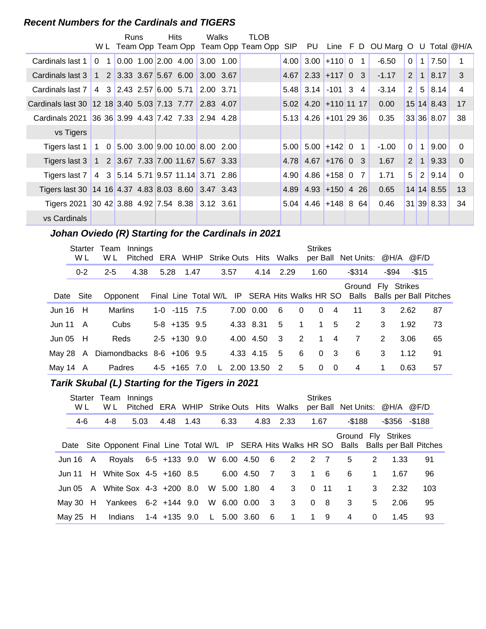#### **Recent Numbers for the Cardinals and TIGERS**

|                                                       |          | Runs |  | <b>Hits</b>                                                                    | Walks       | TLOB                                    |      |                         |                   |                |                                 |                |              |              |                |
|-------------------------------------------------------|----------|------|--|--------------------------------------------------------------------------------|-------------|-----------------------------------------|------|-------------------------|-------------------|----------------|---------------------------------|----------------|--------------|--------------|----------------|
|                                                       |          |      |  |                                                                                |             | W L Team Opp Team Opp Team Opp Team Opp |      | SIP PU                  |                   |                | Line F D OU Marg O U Total @H/A |                |              |              |                |
| Cardinals last 1                                      | $\Omega$ |      |  | $0.00 \quad 1.00 \quad 2.00 \quad 4.00$                                        | $3.00$ 1.00 |                                         | 4.00 | 3.00                    | $ +110 0$         | $\mathbf{1}$   | $-6.50$                         | $\Omega$       | 1            | 7.50         |                |
| Cardinals last 3                                      |          |      |  | 1 2 3.33 3.67 5.67 6.00                                                        | 3.00 3.67   |                                         | 4.67 |                         | $2.33$ +117 0 3   |                | $-1.17$                         | 2              | $\mathbf{1}$ | 8.17         | 3              |
| Cardinals last 7                                      |          |      |  | 4 3 2.43 2.57 6.00 5.71                                                        | 2.00 3.71   |                                         |      | $5.48$ 3.14 -101 3      |                   | $\overline{4}$ | $-3.14$                         | $\overline{2}$ |              | 5 8.14       | $\overline{4}$ |
| Cardinals last 30 12 18 3.40 5.03 7.13 7.77 2.83 4.07 |          |      |  |                                                                                |             |                                         |      | $5.02$ 4.20 + 110 11 17 |                   |                | 0.00                            |                |              | 15 14 8.43   | 17             |
| Cardinals 2021                                        |          |      |  |                                                                                |             |                                         |      | $5.13$ 4.26 +101 29 36  |                   |                | 0.35                            |                |              | 33 36 8.07   | 38             |
| vs Tigers                                             |          |      |  |                                                                                |             |                                         |      |                         |                   |                |                                 |                |              |              |                |
| Tigers last 1                                         |          |      |  | $1 \quad 0 \quad 5.00 \quad 3.00 \quad 9.00 \quad 10.00 \quad 8.00 \quad 2.00$ |             |                                         |      | $5.00$ 5.00 + 142 0     |                   | $\mathbf{1}$   | $-1.00$                         | $\Omega$       | $\mathbf{1}$ | 9.00         | $\Omega$       |
| Tigers last $3$                                       |          |      |  | 1 2 3.67 7.33 7.00 11.67 5.67 3.33                                             |             |                                         |      | 4.78 4.67               | $ +176 0 3$       |                | 1.67                            | 2              | $\mathbf{1}$ | 9.33         | $\Omega$       |
| Tigers last 7                                         |          |      |  | 4 3 5.14 5.71 9.57 11.14 3.71 2.86                                             |             |                                         | 4.90 |                         | $4.86$ +158 0     | $\overline{7}$ | 1.71                            | 5              | 2            | 9.14         | $\Omega$       |
| Tigers last 30 14 16 4.37 4.83 8.03 8.60 3.47 3.43    |          |      |  |                                                                                |             |                                         | 4.89 |                         | $4.93$ +150 4 26  |                | 0.65                            |                |              | $14$ 14 8.55 | 13             |
| Tigers 2021 30 42 3.88 4.92 7.54 8.38 3.12 3.61       |          |      |  |                                                                                |             |                                         | 5.04 |                         | $4.46$ + 148 8 64 |                | 0.46                            |                |              | 31 39 8.33   | 34             |
| vs Cardinals                                          |          |      |  |                                                                                |             |                                         |      |                         |                   |                |                                 |                |              |              |                |

# **..........Johan Oviedo (R) Starting for the Cardinals in 2021**

|               | Starter<br>W L | Team<br>W L                   | Innings<br>Pitched ERA WHIP Strike Outs Hits Walks |                    |   |      |            |                |                | <b>Strikes</b> |                          | per Ball Net Units: @H/A @F/D                                                                    |   |                 |    |
|---------------|----------------|-------------------------------|----------------------------------------------------|--------------------|---|------|------------|----------------|----------------|----------------|--------------------------|--------------------------------------------------------------------------------------------------|---|-----------------|----|
|               | $0 - 2$        | $2 - 5$                       | 4.38                                               | 5.28 1.47          |   | 3.57 | 4.14 2.29  |                |                | 1.60           |                          | $-$ \$314                                                                                        |   | -\$94<br>$-$15$ |    |
|               | Date Site      | Opponent                      |                                                    |                    |   |      |            |                |                |                |                          | Ground Fly Strikes<br>Final Line Total W/L IP SERA Hits Walks HR SO Balls Balls per Ball Pitches |   |                 |    |
| Jun $16$ H    |                | Marlins                       |                                                    | $1-0$ $-115$ $7.5$ |   |      | 7.00 0.00  | - 6            | $\Omega$       | $\Omega$       | $\overline{4}$           | 11                                                                                               | 3 | 2.62            | 87 |
| Jun 11        | A              | Cubs                          |                                                    | $5-8$ +135 9.5     |   |      | 4.33 8.31  | 5              | $\overline{1}$ |                | $1\quad 5$               | 2                                                                                                | 3 | 1.92            | 73 |
| Jun 05 $H$    |                | Reds                          |                                                    | $2-5$ +130 9.0     |   |      | 4.00 4.50  | - 3            | 2              | $1 \quad$      | $\overline{4}$           | 7                                                                                                | 2 | 3.06            | 65 |
|               | May 28 A       | Diamondbacks $8-6$ +106 $9.5$ |                                                    |                    |   |      | 4.33 4.15  | - 5            | 6              |                | 0 <sup>3</sup>           | 6                                                                                                | 3 | 1.12            | 91 |
| May 14 $\,$ A |                | Padres                        |                                                    | $4-5$ +165 7.0     | L |      | 2.00 13.50 | $\overline{2}$ | 5              | 0              | $\overline{\phantom{0}}$ | 4                                                                                                |   | 0.63            | 57 |

# **..........Tarik Skubal (L) Starting for the Tigers in 2021**

| Starter<br>W L | Team Innings<br>W L             | Pitched |                     |                                  |      |             |                         | ERA WHIP Strike Outs Hits Walks |      | <b>Strikes</b> | per Ball Net Units: @H/A @F/D |             |                     |                                                                                               |
|----------------|---------------------------------|---------|---------------------|----------------------------------|------|-------------|-------------------------|---------------------------------|------|----------------|-------------------------------|-------------|---------------------|-----------------------------------------------------------------------------------------------|
| 4-6            | 4-8                             | 5.03    | 4.48 1.43           |                                  | 6.33 |             | 4.83                    | 2.33                            | 1.67 |                | $-$ \$188                     |             | $-$ \$356 $-$ \$188 |                                                                                               |
|                |                                 |         |                     |                                  |      |             |                         |                                 |      |                | Ground Fly Strikes            |             |                     | Date Site Opponent Final Line Total W/L IP SERA Hits Walks HR SO Balls Balls per Ball Pitches |
| Jun 16 A       |                                 |         | Royals 6-5 +133 9.0 |                                  |      |             |                         | W 6.00 4.50 6 2 2 7             |      |                | 5                             | 2           | 1.33                | 91                                                                                            |
|                | Jun 11 H White Sox 4-5 +160 8.5 |         |                     |                                  |      | 6.00 4.50 7 |                         | 3 1 6                           |      |                | 6                             | $\mathbf 1$ | 1.67                | 96                                                                                            |
|                | Jun 05 A White Sox 4-3 +200 8.0 |         |                     |                                  |      | W 5.00 1.80 | 4                       | $3^{\circ}$                     |      | $0 \t11$       | $\overline{1}$                | 3           | 2.32                | 103                                                                                           |
|                | May 30 H Yankees $6-2$ +144 9.0 |         |                     |                                  |      | W 6.00 0.00 | $\overline{\mathbf{3}}$ | 3 <sup>1</sup>                  |      | 0 <sub>8</sub> | 3                             | 5           | 2.06                | 95                                                                                            |
| May 25 H       |                                 |         |                     | Indians 1-4 +135 9.0 L 5.00 3.60 |      |             | - 6                     | $\overline{1}$                  |      | 1 9            | 4                             | 0           | 1.45                | 93                                                                                            |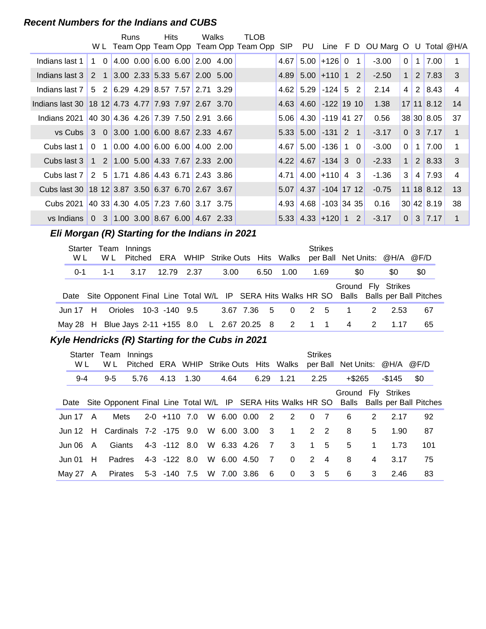#### **Recent Numbers for the Indians and CUBS**

|                                                     |                | W L                      |                | Runs |         | <b>Hits</b> | Walks                                     |                    | <b>TLOB</b><br>Team Opp Team Opp Team Opp Team Opp | <b>SIP</b> | PU   | Line FD             |              |                | OU Marg O |                | U              |                    | Total @H/A   |
|-----------------------------------------------------|----------------|--------------------------|----------------|------|---------|-------------|-------------------------------------------|--------------------|----------------------------------------------------|------------|------|---------------------|--------------|----------------|-----------|----------------|----------------|--------------------|--------------|
|                                                     |                |                          |                |      |         |             |                                           |                    |                                                    |            |      |                     |              |                |           |                |                |                    |              |
| Indians last 1                                      |                | $\Omega$<br>$\mathbf{1}$ |                |      |         |             | 4.00 $0.00$ 6.00 6.00 2.00 4.00           |                    |                                                    | 4.67       | 5.00 | $+126$ 0            |              | $\mathbf 1$    | $-3.00$   | $\mathbf 0$    | $\mathbf{1}$   | 7.00               | 1            |
| Indians last 3                                      | 2              | $\overline{1}$           |                |      |         |             | $3.00$ 2.33 5.33 5.67 2.00 5.00           |                    |                                                    | 4.89       |      | $5.00 + 110$        |              | $1\quad2$      | $-2.50$   | $\mathbf{1}$   | $\overline{2}$ | 7.83               | 3            |
| Indians last 7                                      | 5              |                          | 2 <sup>1</sup> |      |         |             | $6.29$ 4.29 8.57 7.57 2.71 3.29           |                    |                                                    | 4.62       | 5.29 | $-124$ 5            |              | 2              | 2.14      | 4              | 2              | 8.43               | 4            |
| Indians last 30 18 12 4.73 4.77 7.93 7.97 2.67 3.70 |                |                          |                |      |         |             |                                           |                    |                                                    | 4.63       |      | 4.60 -122 19 10     |              |                | 1.38      |                |                | $17$ 11 8.12       | 14           |
| Indians 2021                                        |                |                          |                |      |         |             | $ 40,30 4.36, 4.26 7.39, 7.50 2.91, 3.66$ |                    |                                                    | 5.06       | 4.30 | $-119$ 41 27        |              |                | 0.56      |                |                | 38 30 8.05         | 37           |
| vs Cubs                                             | 3              | $\overline{0}$           |                |      |         |             | 3.00 1.00 6.00 8.67 2.33 4.67             |                    |                                                    | 5.33       | 5.00 | $-131$              |              | 2 <sub>1</sub> | $-3.17$   | $\overline{0}$ | 3              | $\vert 7.17 \vert$ | $\mathbf{1}$ |
| Cubs last 1                                         | $\Omega$       |                          | 1 <sup>1</sup> |      |         |             | $0.00$ 4.00 6.00 6.00 4.00 2.00           |                    |                                                    | 4.67       | 5.00 | $-136$              | $\mathbf{1}$ | $\Omega$       | $-3.00$   | $\mathbf 0$    | $\mathbf{1}$   | 7.00               | 1            |
| Cubs last 3                                         | $\mathbf{1}$   |                          |                |      |         |             | 2 1.00 5.00 4.33 7.67 2.33 2.00           |                    |                                                    | 4.22       | 4.67 | $-134$ 3 0          |              |                | $-2.33$   | $\mathbf{1}$   | 2              | 8.33               | 3            |
| Cubs last 7                                         | 2              |                          | 5 <sup>1</sup> |      |         |             | $1.71$ 4.86 4.43 6.71 2.43 3.86           |                    |                                                    | 4.71       |      | $4.00$ +110         |              | 4 3            | $-1.36$   | 3              | 4              | 7.93               | 4            |
| Cubs last 30 18 12 3.87 3.50 6.37 6.70 2.67 3.67    |                |                          |                |      |         |             |                                           |                    |                                                    | 5.07       | 4.37 | $-104$ 17 12        |              |                | $-0.75$   |                |                | $11$ 18 8.12       | 13           |
| Cubs 2021                                           |                |                          |                |      |         |             | 40 33 4.30 4.05 7.23 7.60 3.17 3.75       |                    |                                                    | 4.93       | 4.68 | $-103$ 34 35        |              |                | 0.16      |                |                | 30 42 8.19         | 38           |
| vs Indians                                          | $\overline{0}$ |                          |                |      |         |             | 3 1.00 3.00 8.67 6.00 4.67 2.33           |                    |                                                    | 5.33       |      | $4.33$ +120 1 2     |              |                | $-3.17$   | 0              | 3              | $\vert 7.17 \vert$ | 1            |
| Eli Morgan (R) Starting for the Indians in 2021     |                |                          |                |      |         |             |                                           |                    |                                                    |            |      |                     |              |                |           |                |                |                    |              |
| <b>Starter</b>                                      |                |                          | Team           |      | Innings |             |                                           |                    |                                                    |            |      | <b>Strikes</b>      |              |                |           |                |                |                    |              |
| W L                                                 |                |                          | W L            |      | Pitched | ERA         | WHIP                                      | <b>Strike Outs</b> | Hits                                               | Walks      |      | per Ball Net Units: |              |                | @H/A      |                | @F/D           |                    |              |
| $0 - 1$                                             |                |                          | 1-1            |      | 3.17    | 12.79       | 2.37                                      | 3.00               | 6.50                                               | 1.00       |      | 1.69                |              | \$0            | \$0       |                | \$0            |                    |              |

|  | Date Site Opponent Final Line Total W/L IP SERA Hits Walks HR SO Balls Balls per Ball Pitches |  |  |  |  |  | Ground Fly Strikes         |  |     |
|--|-----------------------------------------------------------------------------------------------|--|--|--|--|--|----------------------------|--|-----|
|  | Jun 17 H Orioles 10-3 -140 9.5                                                                |  |  |  |  |  | 3.67 7.36 5 0 2 5 1 2 2.53 |  | -67 |
|  | May 28 H Blue Jays 2-11 + 155 8.0 L 2.67 20.25 8 2 1 1 4 2 1.17                               |  |  |  |  |  |                            |  | -65 |

#### Kyle Hendricks (R) Starting for the Cubs in 2021

| W L           |   | Starter Team<br>W L | Innings |                                    |  |               |  | Pitched ERA WHIP Strike Outs Hits Walks             | <b>Strikes</b> |           |              | per Ball Net Units: @H/A @F/D |                                                                                               |
|---------------|---|---------------------|---------|------------------------------------|--|---------------|--|-----------------------------------------------------|----------------|-----------|--------------|-------------------------------|-----------------------------------------------------------------------------------------------|
| $9 - 4$       |   | $9 - 5$             | 5.76    | 4.13 1.30                          |  | 4.64          |  | 6.29 1.21                                           | 2.25           | $+$ \$265 |              | -\$145                        | <b>\$0</b>                                                                                    |
|               |   |                     |         |                                    |  |               |  |                                                     |                |           |              | Ground Fly Strikes            | Date Site Opponent Final Line Total W/L IP SERA Hits Walks HR SO Balls Balls per Ball Pitches |
| Jun 17 $\,$ A |   |                     |         |                                    |  |               |  | Mets 2-0 +110 7.0 W 6.00 0.00 2 2 0 7               |                | -6        | 2            | 2.17                          | 92                                                                                            |
|               |   |                     |         |                                    |  |               |  | Jun 12 H Cardinals 7-2 -175 9.0 W 6.00 3.00 3 1 2 2 |                | 8         | 5            | 1.90                          | 87                                                                                            |
| Jun 06 $\,$ A |   | Giants              |         |                                    |  |               |  | 4-3 -112 8.0 W 6.33 4.26 7 3 1 5                    |                | 5         | $\mathbf{1}$ | 1.73                          | 101                                                                                           |
| Jun 01        | H |                     |         | Padres 4-3 -122 8.0                |  | W 6.00 4.50 7 |  | $\overline{0}$                                      | $2 \quad 4$    | 8         | 4            | 3.17                          | 75                                                                                            |
| May 27 A      |   |                     |         | Pirates 5-3 -140 7.5 W 7.00 3.86 6 |  |               |  | $\overline{0}$                                      | $3\quad 5$     | 6         | 3            | 2.46                          | 83                                                                                            |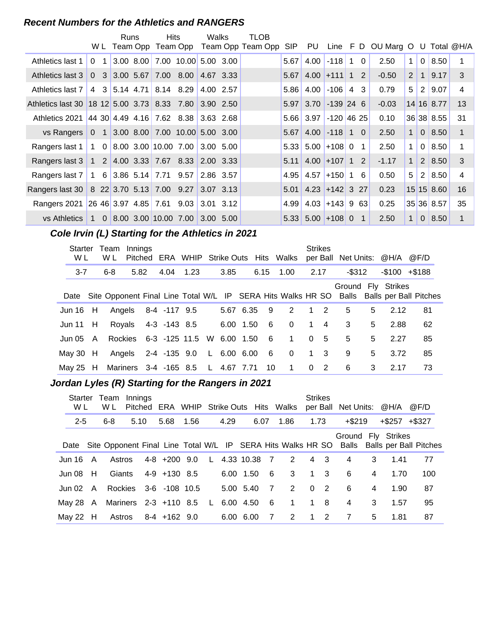#### **Recent Numbers for the Athletics and RANGERS**

|                                                                  |                                            | Runs | Hits                                                                           |                  | Walks     | TLOB              |            |                                          |                |                |                                 |              |                |               |    |
|------------------------------------------------------------------|--------------------------------------------|------|--------------------------------------------------------------------------------|------------------|-----------|-------------------|------------|------------------------------------------|----------------|----------------|---------------------------------|--------------|----------------|---------------|----|
|                                                                  |                                            |      | W L Team Opp Team Opp                                                          |                  |           | Team Opp Team Opp | <b>SIP</b> | PU                                       |                |                | Line F D OU Marg O U Total @H/A |              |                |               |    |
| Athletics last 1                                                 | $\Omega$<br>1                              |      | $3.00$ 8.00 7.00 10.00 5.00 3.00                                               |                  |           |                   | 5.67       |                                          | $4.00$ -118 1  | $\overline{0}$ | 2.50                            | $\mathbf{1}$ | $\overline{0}$ | 8.50          |    |
| Athletics last 3                                                 | $\Omega$                                   |      | 3 3.00 5.67 7.00 8.00 4.67 3.33                                                |                  |           |                   | 5.67       | $4.00$ +111 1 2                          |                |                | $-0.50$                         | 2            | $\overline{1}$ | 9.17          | 3  |
| Athletics last 7                                                 | $\overline{4}$                             |      | 3 5.14 4.71 8.14 8.29                                                          |                  | 4.00 2.57 |                   |            | $5.86$ 4.00 -106 4                       |                | 3              | 0.79                            | 5            | 2              | 9.07          | 4  |
| Athletics last 30 18 12 5.00 3.73 8.33 7.80 3.90 2.50            |                                            |      |                                                                                |                  |           |                   |            | $5.97$ 3.70 -139 24 6                    |                |                | $-0.03$                         |              |                | 14 16 8.77    | 13 |
| Athletics 2021                                                   |                                            |      | 44 30 4.49 4.16 7.62 8.38 3.63 2.68                                            |                  |           |                   |            | 5.66 3.97 -120 46 25                     |                |                | 0.10                            |              |                | 36 38 8.55    | 31 |
| vs Rangers                                                       | $\overline{0}$                             |      | 1 3.00 8.00 7.00 10.00 5.00 3.00                                               |                  |           |                   | 5.67       | $4.00$ -118 1 0                          |                |                | 2.50                            | $\mathbf{1}$ |                | $0 \mid 8.50$ | 1  |
| Rangers last 1                                                   |                                            |      | $1 \quad 0 \quad 8.00 \quad 3.00 \quad 10.00 \quad 7.00 \quad 3.00 \quad 5.00$ |                  |           |                   |            | $5.33$ 5.00 +108 0                       |                | $\mathbf{1}$   | 2.50                            | $\mathbf{1}$ | $\mathbf{0}$   | 8.50          |    |
| Rangers last 3   1   2   4.00   3.33   7.67   8.33   2.00   3.33 |                                            |      |                                                                                |                  |           |                   |            | $5.11 \mid 4.00 \mid +107 \mid 1 \mid 2$ |                |                | $-1.17$                         | $\mathbf 1$  |                | 2 8.50        | 3  |
| Rangers last 7                                                   |                                            |      | 1 6 3.86 5.14 7.71 9.57 2.86 3.57                                              |                  |           |                   | 4.95       | $4.57$ +150 1                            |                | 6              | 0.50                            | 5            | 2              | 8.50          | 4  |
| Rangers last 30                                                  | $\vert$ 8 22 3.70 5.13 7.00 9.27 3.07 3.13 |      |                                                                                |                  |           |                   |            | $5.01$ 4.23 + 142 3 27                   |                |                | 0.23                            |              |                | 15 15 8.60    | 16 |
| Rangers 2021                                                     | 26463.974.8577.61                          |      |                                                                                | $9.03$ 3.01 3.12 |           |                   | 4.99       |                                          | $4.03$ + 143 9 | -631           | 0.25                            |              |                | 35 36 8.57    | 35 |
| vs Athletics                                                     | $\mathbf{1}$                               |      | $0$ 8.00 3.00 10.00 7.00                                                       |                  | 3.00 5.00 |                   |            | $5.33$ $5.00$ +108 0                     |                | $\mathbf{1}$   | 2.50                            | $\mathbf{1}$ | $\Omega$       | 8.50          |    |

#### **Cole Irvin (L) Starting for the Athletics in 2021**

| Starter<br>W L |          | Team<br>W L    | Innings | Pitched ERA WHIP Strike Outs Hits Walks |  |               |      |     |                |      | <b>Strikes</b> | per Ball Net Units: @H/A |   |                    | @F/D                                                                                          |
|----------------|----------|----------------|---------|-----------------------------------------|--|---------------|------|-----|----------------|------|----------------|--------------------------|---|--------------------|-----------------------------------------------------------------------------------------------|
| $3 - 7$        |          | $6 - 8$        | 5.82    | 4.04 1.23                               |  | 3.85          | 6.15 |     | 1.00           | 2.17 |                | $-$ \$312                |   | $-$100 + $188$     |                                                                                               |
|                |          |                |         |                                         |  |               |      |     |                |      |                |                          |   | Ground Fly Strikes | Date Site Opponent Final Line Total W/L IP SERA Hits Walks HR SO Balls Balls per Ball Pitches |
| Jun 16         | H        |                |         | Angels 8-4 -117 9.5                     |  | 5.67 6.35     |      | 9   | 2              |      | $1\quad 2$     | 5                        | 5 | 2.12               | 81                                                                                            |
| Jun 11 $H$     |          |                |         | Royals 4-3 -143 8.5                     |  | 6.00 1.50     |      | 6   | $\Omega$       |      | $1 \quad 4$    | 3                        | 5 | 2.88               | 62                                                                                            |
| Jun 05         | <b>A</b> | <b>Rockies</b> |         | 6-3 -125 11.5 W 6.00 1.50               |  |               |      | - 6 | $\overline{1}$ |      | 0 <sub>5</sub> | 5                        | 5 | 2.27               | 85                                                                                            |
| May 30 $H$     |          |                |         | Angels 2-4 -135 9.0                     |  | $L$ 6.00 6.00 |      | 6   | $\Omega$       |      | $1 \quad 3$    | 9                        | 5 | 3.72               | 85                                                                                            |
| May 25 H       |          |                |         | Mariners 3-4 -165 8.5 L 4.67 7.71       |  |               |      | 10  | $\overline{1}$ |      | $0\quad 2$     | 6                        | 3 | 2.17               | 73                                                                                            |

# **..........Jordan Lyles (R) Starting for the Rangers in 2021**

| W L                | Starter Team<br>W L              | Innings |                             |      |      |           |                 | Pitched ERA WHIP Strike Outs Hits Walks | <b>Strikes</b> |                | per Ball Net Units: @H/A |   |                     | @F/D                                                                                          |
|--------------------|----------------------------------|---------|-----------------------------|------|------|-----------|-----------------|-----------------------------------------|----------------|----------------|--------------------------|---|---------------------|-----------------------------------------------------------------------------------------------|
| $2 - 5$            | $6 - 8$                          | 5.10    | 5.68                        | 1.56 | 4.29 |           | 6.07            | 1.86                                    | 1.73           |                | $+$ \$219                |   | $+$ \$257 $+$ \$327 |                                                                                               |
|                    |                                  |         |                             |      |      |           |                 |                                         |                |                | Ground Fly Strikes       |   |                     | Date Site Opponent Final Line Total W/L IP SERA Hits Walks HR SO Balls Balls per Ball Pitches |
| Jun 16 A           | Astros                           |         | 4-8 +200 9.0 L 4.33 10.38 7 |      |      |           |                 | $2^{\circ}$                             |                | 4 3            | 4                        | 3 | 1.41                | 77                                                                                            |
| Jun 08 H           | Giants                           |         | 4-9 +130 8.5                |      |      | 6.00 1.50 | - 6             | 3                                       |                | $1 \quad 3$    | 6                        | 4 | 1.70                | 100                                                                                           |
| Jun $02 \text{ A}$ |                                  |         | Rockies 3-6 -108 10.5       |      |      | 5.00 5.40 | $\overline{7}$  | 2                                       | $\Omega$       | $\overline{2}$ | 6                        | 4 | 1.90                | 87                                                                                            |
|                    | May 28 A Mariners 2-3 +110 8.5 L |         |                             |      |      | 6.00 4.50 | $6\overline{6}$ | $\mathbf{1}$                            |                | 1 8            | 4                        | 3 | 1.57                | 95                                                                                            |
| May 22 $H$         |                                  |         | Astros 8-4 +162 9.0         |      |      | 6.00 6.00 | - 7             | 2                                       |                | $1\quad 2$     | 7                        | 5 | 1.81                | 87                                                                                            |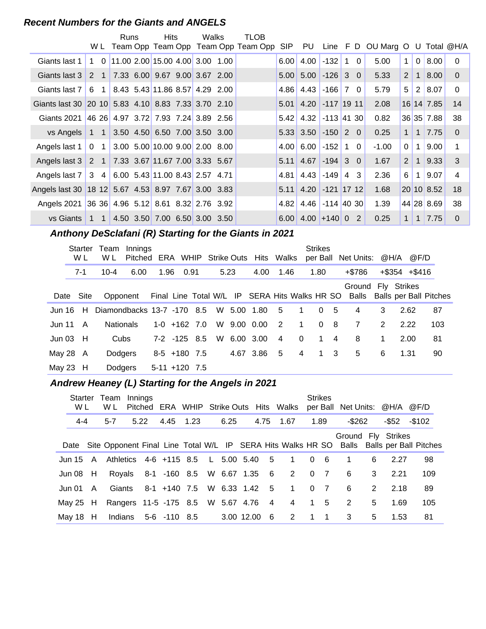#### **Recent Numbers for the Giants and ANGELS**

|                                                                  |              |                | Runs | Hits                                | Walks | TLOB                                    |                   |                                   |                   |          |                                        |                |                |               |                |
|------------------------------------------------------------------|--------------|----------------|------|-------------------------------------|-------|-----------------------------------------|-------------------|-----------------------------------|-------------------|----------|----------------------------------------|----------------|----------------|---------------|----------------|
|                                                                  |              |                |      |                                     |       | W L Team Opp Team Opp Team Opp Team Opp |                   |                                   |                   |          | SIP PU Line F D OU Marg O U Total @H/A |                |                |               |                |
| Giants last 1                                                    | $\mathbf{1}$ | $\Omega$       |      | 11.00 2.00 15.00 4.00 3.00 1.00     |       |                                         | 6.00              | 4.00                              | $-132$ 1          | $\Omega$ | 5.00                                   | $\mathbf{1}$   | $\Omega$       | 8.00          | $\Omega$       |
| Giants last 3                                                    | $2 \quad 1$  |                |      | 7.33 6.00 9.67 9.00 3.67 2.00       |       |                                         | 5.00              |                                   | $5.00$ -126 3 0   |          | 5.33                                   | 2 <sup>1</sup> | 1              | 8.00          | $\Omega$       |
| Giants last 7                                                    | -6           | $\overline{1}$ |      | 8.43 5.43 11.86 8.57 4.29 2.00      |       |                                         |                   | $4.86$ 4.43                       | $-166$ 7 0        |          | 5.79                                   | 5 <sup>1</sup> | 2 <sup>1</sup> | 8.07          | $\mathbf{0}$   |
| Giants last 30 20 10 5.83 4.10 8.83 7.33 3.70 2.10               |              |                |      |                                     |       |                                         |                   | $5.01$ 4.20 $-117$ 19 11          |                   |          | 2.08                                   |                |                | $16$ 14 7.85  | 14             |
| Giants 2021                                                      |              |                |      | 46 26 4.97 3.72 7.93 7.24 3.89 2.56 |       |                                         | 5.42              | 4.32                              | $-113$ 41 30      |          | 0.82                                   |                |                | 36 35 7.88    | 38             |
| vs Angels                                                        | $1 \quad 1$  |                |      | $3.50$ 4.50 6.50 7.00 3.50 3.00     |       |                                         |                   | $5.33$ 3.50 $-150$ 2 0            |                   |          | 0.25                                   | 1              | 1 <sup>1</sup> | 7.75          | $\Omega$       |
| Angels last $1 \mid 0 \mid 1$                                    |              |                |      | 3.00 5.00 10.00 9.00 2.00 8.00      |       |                                         | 4.00 <sub>l</sub> | 6.00                              | $-152$ 1 0        |          | $-1.00$                                | $\Omega$       | $\mathbf{1}$   | 9.00          | 1              |
| Angels last 3                                                    | 2 1          |                |      | 7.33 3.67 11.67 7.00 3.33 5.67      |       |                                         |                   | $5.11 \, 4.67$                    | $-194$ 3 0        |          | 1.67                                   | 2              | $\mathbf{1}$   | 9.33          | 3              |
| Angels last 7                                                    | 3 4          |                |      | 6.00 5.43 11.00 8.43 2.57 4.71      |       |                                         | 4.81              | 4.43                              | $-149$            | 4 3      | 2.36                                   | 6              | $\mathbf 1$    | 9.07          | $\overline{4}$ |
| Angels last 30   18 12   5.67   4.53   8.97   7.67   3.00   3.83 |              |                |      |                                     |       |                                         |                   | $5.11$ 4.20 -121 17 12            |                   |          | 1.68                                   |                |                | 20 10 8.52    | 18             |
| Angels 2021 36 36 4.96 5.12 8.61 8.32 2.76 3.92                  |              |                |      |                                     |       |                                         | 4.82              |                                   | $4.46$ -114 40 30 |          | 1.39                                   |                |                | 44 28 8.69    | 38             |
| vs Giants                                                        | $1 \quad 1$  |                |      | 4.50 3.50 7.00 6.50 3.00 3.50       |       |                                         |                   | $6.00 \mid 4.00 \mid +140 \mid 0$ |                   | 2        | 0.25                                   | 1 <sup>1</sup> |                | $1 \mid 7.75$ | $\Omega$       |

# **..........Anthony DeSclafani (R) Starting for the Giants in 2021**

|          | Starter<br>W L | Team Innings<br>W L                 | Pitched ERA WHIP Strike Outs Hits Walks |      |                  |  |      |             |                |                | <b>Strikes</b><br>per Ball |             | Net Units: @H/A @F/D                                                                                      |   |                     |     |
|----------|----------------|-------------------------------------|-----------------------------------------|------|------------------|--|------|-------------|----------------|----------------|----------------------------|-------------|-----------------------------------------------------------------------------------------------------------|---|---------------------|-----|
|          | 7-1            | $10 - 4$                            | 6.00                                    | 1.96 | 0.91             |  | 5.23 | 4.00        | 1.46           |                | 1.80                       |             | +\$786                                                                                                    |   | $+$ \$354 $+$ \$416 |     |
|          | Date Site      |                                     |                                         |      |                  |  |      |             |                |                |                            |             | Ground Fly Strikes<br>Opponent Final Line Total W/L IP SERA Hits Walks HR SO Balls Balls per Ball Pitches |   |                     |     |
|          |                | Jun 16 H Diamondbacks 13-7 -170 8.5 |                                         |      |                  |  |      | W 5.00 1.80 | - 5            | $\overline{1}$ | $\Omega$                   | -5          | 4                                                                                                         | 3 | 2.62                | 87  |
| Jun 11   | A              | <b>Nationals</b>                    |                                         |      | $1-0$ +162 7.0   |  |      | W 9.00 0.00 | $\overline{2}$ | $\overline{1}$ | $\Omega$                   | 8           | $\overline{7}$                                                                                            | 2 | 2.22                | 103 |
|          | Jun 03 $H$     | Cubs                                |                                         |      | $7-2$ $-125$ 8.5 |  |      | W 6.00 3.00 | $\overline{4}$ | $\Omega$       |                            | $1 \quad 4$ | 8                                                                                                         | 1 | 2.00                | 81  |
| May 28 A |                | <b>Dodgers</b>                      |                                         |      | $8-5$ +180 7.5   |  |      | 4.67 3.86   | $-5$           | $\overline{4}$ |                            | $1 \quad 3$ | 5                                                                                                         | 6 | 1.31                | 90  |
| May 23 H |                | Dodgers                             |                                         |      | $5-11$ +120 7.5  |  |      |             |                |                |                            |             |                                                                                                           |   |                     |     |

# **..........Andrew Heaney (L) Starting for the Angels in 2021**

| Starter<br>W L | Team<br>W L | Innings | Pitched |                                     |      |            |      | ERA WHIP Strike Outs Hits Walks                   |          | <b>Strikes</b>   | per Ball Net Units: @H/A @F/D |   |       |                                                                                               |
|----------------|-------------|---------|---------|-------------------------------------|------|------------|------|---------------------------------------------------|----------|------------------|-------------------------------|---|-------|-----------------------------------------------------------------------------------------------|
| 4-4            | $5 - 7$     | 5.22    |         | 4.45                                | 1.23 | 6.25       | 4.75 | 1.67                                              |          | 1.89             | -\$262                        |   | -\$52 | $-$102$                                                                                       |
|                |             |         |         |                                     |      |            |      |                                                   |          |                  | Ground Fly Strikes            |   |       | Date Site Opponent Final Line Total W/L IP SERA Hits Walks HR SO Balls Balls per Ball Pitches |
|                |             |         |         |                                     |      |            |      | Jun 15 A Athletics 4-6 +115 8.5 L 5.00 5.40 5 1 0 |          | - 6              | $\overline{1}$                | 6 | 2.27  | 98                                                                                            |
| Jun 08 H       |             |         |         |                                     |      |            |      | Royals 8-1 -160 8.5 W 6.67 1.35 6 2 0 7           |          |                  | -6                            | 3 | 2.21  | 109                                                                                           |
| Jun 01 A       | Giants      |         |         |                                     |      |            |      | 8-1 +140 7.5 W 6.33 1.42 5 1                      | $\Omega$ | $\overline{7}$   | -6                            | 2 | 2.18  | 89                                                                                            |
| May 25 H       |             |         |         | Rangers 11-5 -175 8.5 W 5.67 4.76 4 |      |            |      | $\overline{4}$                                    |          | 1 5              | $\overline{2}$                | 5 | 1.69  | 105                                                                                           |
| May 18 $H$     |             |         |         | Indians 5-6 -110 8.5                |      | 3.00 12.00 | 6    | 2                                                 | 1        | $\blacksquare$ 1 | 3                             | 5 | 1.53  | 81                                                                                            |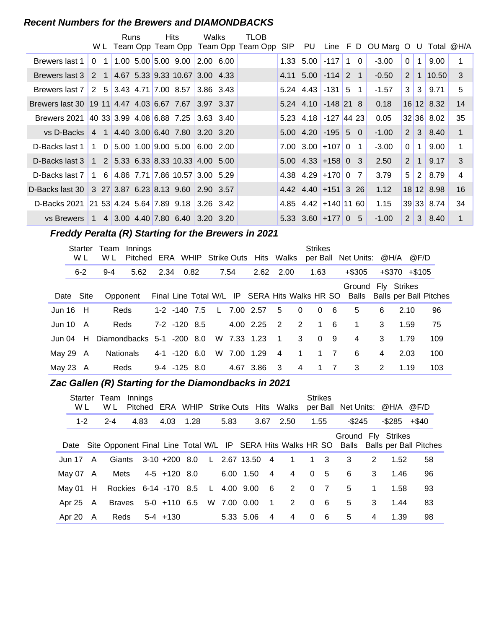#### **Recent Numbers for the Brewers and DIAMONDBACKS**

|                                                     |                                    | Runs |  | <b>Hits</b>                                                                   | Walks       | TLOB                                    |      |                                          |  |                                    |                |                |                      |              |
|-----------------------------------------------------|------------------------------------|------|--|-------------------------------------------------------------------------------|-------------|-----------------------------------------|------|------------------------------------------|--|------------------------------------|----------------|----------------|----------------------|--------------|
|                                                     |                                    |      |  |                                                                               |             | W L Team Opp Team Opp Team Opp Team Opp | SIP  |                                          |  | PU Line F D OU Marg O U Total @H/A |                |                |                      |              |
| Brewers last 1                                      | $\Omega$<br>$-1$                   |      |  | $1.00$ 5.00 5.00 9.00 2.00 6.00                                               |             |                                         | 1.33 | $5.00$ -117 1 0                          |  | $-3.00$                            | 0 <sup>1</sup> | 1 <sup>1</sup> | 9.00                 | 1            |
| Brewers last 3                                      |                                    |      |  | 2 1 4.67 5.33 9.33 10.67 3.00 4.33                                            |             |                                         |      | $4.11 \mid 5.00 \mid -114 \mid 2 \mid 1$ |  | $-0.50$                            | 2 <sup>1</sup> |                | 1 10.50              | $\mathbf{3}$ |
| Brewers last 7                                      | 2 5 3.43 4.71 7.00 8.57            |      |  |                                                                               | $3.86$ 3.43 |                                         |      | $5.24$   4.43   -131   5 1               |  | $-1.57$                            |                |                | $3 \mid 3 \mid 9.71$ | 5            |
| Brewers last 30 19 11 4.47 4.03 6.67 7.67 3.97 3.37 |                                    |      |  |                                                                               |             |                                         |      | $5.24$ 4.10 -148 21 8                    |  | 0.18                               |                |                | 16 12 8.32           | 14           |
| Brewers 2021                                        |                                    |      |  |                                                                               |             |                                         | 5.23 | 4.18 -127 44 23                          |  | 0.05                               |                |                | 32 36 8.02           | 35           |
| vs D-Backs                                          |                                    |      |  | 4 1 4.40 3.00 6.40 7.80 3.20 3.20                                             |             |                                         |      | $5.00$   4.20   -195   5 0               |  | $-1.00$                            |                |                | $2 \mid 3 \mid 8.40$ | $\mathbf{1}$ |
| D-Backs last 1                                      |                                    |      |  | $1 \quad 0 \quad 5.00 \quad 1.00 \quad 9.00 \quad 5.00 \quad 6.00 \quad 2.00$ |             |                                         |      | $7.00$ 3.00 + 107 0 1                    |  | $-3.00$                            | 0 <sup>1</sup> | 1 <sup>1</sup> | 9.00                 | 1            |
| D-Backs last 3                                      |                                    |      |  |                                                                               |             |                                         |      | $5.00$ 4.33 + 158 0 3                    |  | 2.50                               | 2 <sup>1</sup> | 1 <sup>1</sup> | 9.17                 | 3            |
| D-Backs last 7                                      |                                    |      |  | 1 6 4.86 7.71 7.86 10.57 3.00 5.29                                            |             |                                         |      | $4.38$   $4.29$   $+170$   0 7           |  | 3.79                               | 5 <sup>1</sup> |                | $2 \mid 8.79$        | 4            |
| D-Backs last 30                                     | 3 27 3.87 6.23 8.13 9.60 2.90 3.57 |      |  |                                                                               |             |                                         |      | $4.42$ 4.40 + 151 3 26                   |  | 1.12                               |                |                | 18 12 8.98           | 16           |
| D-Backs 2021 21 53 4.24 5.64 7.89 9.18 3.26 3.42    |                                    |      |  |                                                                               |             |                                         | 4.85 | $4.42$ +140 11 60                        |  | 1.15                               |                |                | 39 33 8.74           | 34           |
| vs Brewers                                          |                                    |      |  | 1 4 3.00 4.40 7.80 6.40 3.20 3.20                                             |             |                                         |      | $5.33$ 3.60 + 177 0 5                    |  | $-1.00$                            | 2 <sup>1</sup> |                | $3 \mid 8.40$        | 1            |

# **Freddy Peralta (R) Starting for the Brewers in 2021**

|        | <b>Starter</b><br>W L | Team<br>W L | Innings<br>Pitched ERA WHIP Strike Outs Hits Walks |                  |  |      |                                               |                |              | <b>Strikes</b> |                | per Ball Net Units: @H/A |   | @F/D                |                              |
|--------|-----------------------|-------------|----------------------------------------------------|------------------|--|------|-----------------------------------------------|----------------|--------------|----------------|----------------|--------------------------|---|---------------------|------------------------------|
|        | $6 - 2$               | $9 - 4$     | 5.62                                               | 2.34 0.82        |  | 7.54 | 2.62                                          | 2.00           |              | 1.63           |                | $+$ \$305                |   | $+$ \$370 $+$ \$105 |                              |
|        | Date Site             |             | Opponent                                           |                  |  |      | Final Line Total W/L IP SERA Hits Walks HR SO |                |              |                |                | Ground Fly Strikes       |   |                     | Balls Balls per Ball Pitches |
| Jun 16 | - H                   |             | Reds                                               | $1-2$ $-140$ 7.5 |  |      | L 7.00 2.57                                   | -5             | $\mathbf{0}$ | $\Omega$       | - 6            | 5                        | 6 | 2.10                | 96                           |
| Jun 10 | A                     |             | Reds                                               | $7-2$ $-120$ 8.5 |  |      | 4.00 2.25                                     | $\overline{2}$ | 2            | $\mathbf 1$    | - 6            | 1                        | 3 | 1.59                | 75                           |
| Jun 04 | H                     |             | Diamondbacks 5-1 -200 8.0                          |                  |  |      | W 7.33 1.23                                   | $\overline{1}$ | 3            | $\Omega$       | - 9            | 4                        | 3 | 1.79                | 109                          |
| May 29 | A                     |             | <b>Nationals</b>                                   | 4-1 -120 6.0     |  |      | W 7.00 1.29                                   | 4              | $\mathbf{1}$ |                | $1 \quad 7$    | 6                        | 4 | 2.03                | 100                          |
|        | May 23 A              |             | Reds                                               | $9-4$ $-125$ 8.0 |  |      | 4.67 3.86                                     | -3             | 4            | $\mathbf 1$    | $\overline{7}$ | 3                        | 2 | 1.19                | 103                          |

#### **Zac Gallen (R) Starting for the Diamondbacks in 2021**

| Starter<br>W L     |     | Team<br>W L | Innings | Pitched |                                   |  |      |             |                 |                                           |                | <b>Strikes</b> | ERA WHIP Strike Outs Hits Walks per Ball Net Units: @H/A @F/D |             |                    |                                                                                               |
|--------------------|-----|-------------|---------|---------|-----------------------------------|--|------|-------------|-----------------|-------------------------------------------|----------------|----------------|---------------------------------------------------------------|-------------|--------------------|-----------------------------------------------------------------------------------------------|
| $1 - 2$            |     | $2 - 4$     |         | 4.83    | 4.03 1.28                         |  | 5.83 |             | 3.67            | 2.50                                      |                | 1.55           | -\$245                                                        |             | $-$ \$285 $+$ \$40 |                                                                                               |
|                    |     |             |         |         |                                   |  |      |             |                 |                                           |                |                | Ground Fly Strikes                                            |             |                    | Date Site Opponent Final Line Total W/L IP SERA Hits Walks HR SO Balls Balls per Ball Pitches |
| Jun 17 $\,$ A      |     |             |         |         |                                   |  |      |             |                 | Giants 3-10 +200 8.0 L 2.67 13.50 4 1 1 3 |                |                | 3                                                             | 2           | 1.52               | 58                                                                                            |
| May $07 \text{ A}$ |     | Mets        |         |         | 4-5 +120 8.0                      |  |      | 6.00 1.50   | $\overline{4}$  | $\overline{4}$                            | $\Omega$       | - 5            | 6                                                             | 3           | 1.46               | 96                                                                                            |
| May 01 $H$         |     |             |         |         | Rockies 6-14 -170 8.5 L 4.00 9.00 |  |      |             | $6\overline{6}$ | $\overline{2}$                            | $\overline{0}$ | $\overline{7}$ | 5                                                             | $\mathbf 1$ | 1.58               | 93                                                                                            |
| Apr 25 A           |     |             |         |         | Braves 5-0 +110 6.5               |  |      | W 7.00 0.00 | $\overline{1}$  | 2                                         | $\Omega$       | - 6            | 5                                                             | 3           | 1.44               | 83                                                                                            |
| Apr 20             | - A |             |         |         | Reds 5-4 +130                     |  |      | 5.33 5.06   | 4               | 4                                         | $\Omega$       | - 6            | 5                                                             | 4           | 1.39               | 98                                                                                            |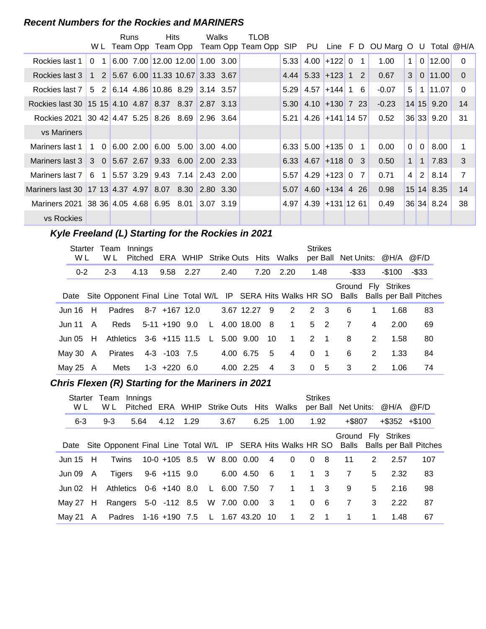#### **Recent Numbers for the Rockies and MARINERS**

|                                                                   |                                                      | Runs |          | <b>Hits</b>                         |                     | Walks                         | TLOB                                   |            |                        |                   |                |                                     |                |                |              |                |
|-------------------------------------------------------------------|------------------------------------------------------|------|----------|-------------------------------------|---------------------|-------------------------------|----------------------------------------|------------|------------------------|-------------------|----------------|-------------------------------------|----------------|----------------|--------------|----------------|
|                                                                   |                                                      |      |          |                                     |                     |                               | WL Team Opp Team Opp Team Opp Team Opp | <b>SIP</b> | PU                     |                   |                | Line $F D$ OU Marg O U Total $@H/A$ |                |                |              |                |
| Rockies last 1                                                    | 0 <sub>1</sub>                                       |      |          | 6.00 7.00 12.00 12.00 1.00 3.00     |                     |                               |                                        | 5.33       |                        | $4.00$ +122 0 1   |                | 1.00                                | 1 <sup>1</sup> |                | $0$   12.00  | $\Omega$       |
| Rockies last 3                                                    |                                                      |      |          | 1 2 5.67 6.00 11.33 10.67 3.33 3.67 |                     |                               |                                        |            | $4.44$ 5.33 + 123 1 2  |                   |                | 0.67                                | 3 <sup>1</sup> |                | 0 11.00      | $\Omega$       |
| Rockies last 7   5   2   6.14   4.86   10.86   8.29   3.14   3.57 |                                                      |      |          |                                     |                     |                               |                                        | 5.29       | 4.57                   | $+144$ 1          | 6              | $-0.07$                             | 5              |                | 1 11.07      | $\Omega$       |
| Rockies last 30   15 15   4.10   4.87   8.37   8.37   2.87   3.13 |                                                      |      |          |                                     |                     |                               |                                        |            | $5.30$ 4.10 + 130 7 23 |                   |                | $-0.23$                             |                |                | 14 15 9.20   | 14             |
| Rockies 2021                                                      | $ 30, 42, 4.47, 5.25, 8.26, 8.69, 2.96, 3.64\rangle$ |      |          |                                     |                     |                               |                                        | 5.21       |                        | $4.26$ +141 14 57 |                | 0.52                                |                |                | 36 33 9.20   | 31             |
| <b>vs Mariners</b>                                                |                                                      |      |          |                                     |                     |                               |                                        |            |                        |                   |                |                                     |                |                |              |                |
| Mariners last 1                                                   | $1 \quad 0$                                          |      | 6.002.00 |                                     | 6.00 5.00 3.00 4.00 |                               |                                        |            | $6.33$ 5.00 + 135 0    |                   | $\overline{1}$ | 0.00                                | $\Omega$       | $\overline{0}$ | 8.00         |                |
| Mariners last 3                                                   | $3 \t0 \t5.67 \t2.67 \t9.33 \t6.00$                  |      |          |                                     |                     | $\vert 2.00 \vert 2.33 \vert$ |                                        |            | $6.33$ 4.67 + 118 0 3  |                   |                | 0.50                                | 1 <sup>1</sup> | $\mathbf{1}$   | 7.83         | 3              |
| Mariners last 7                                                   |                                                      |      |          | 6 1 5.57 3.29 9.43 7.14 2.43 2.00   |                     |                               |                                        | 5.57       |                        | $4.29$ +123 0     | 7              | 0.71                                | 4              | 2 <sup>1</sup> | 8.14         | $\overline{7}$ |
| Mariners last 30 17 13 4.37 4.97 8.07 8.30 2.80 3.30              |                                                      |      |          |                                     |                     |                               |                                        | 5.07       |                        | $4.60$ +134 4 26  |                | 0.98                                |                |                | $15$ 14 8.35 | 14             |
| Mariners 2021 38 36 4.05 4.68 6.95 8.01                           |                                                      |      |          |                                     |                     | $ 3.07 \t3.19 \t$             |                                        | 4.97       |                        | $4.39$ +131 12 61 |                | 0.49                                |                |                | 36 34 8.24   | 38             |
| vs Rockies                                                        |                                                      |      |          |                                     |                     |                               |                                        |            |                        |                   |                |                                     |                |                |              |                |

#### **Kyle Freeland (L) Starting for the Rockies in 2021**

| W L           | Starter Team<br>W L | Innings |                           |              |      |              |                | Pitched ERA WHIP Strike Outs Hits Walks |          | <b>Strikes</b> |          |               | per Ball Net Units: @H/A @F/D |                                                                                               |
|---------------|---------------------|---------|---------------------------|--------------|------|--------------|----------------|-----------------------------------------|----------|----------------|----------|---------------|-------------------------------|-----------------------------------------------------------------------------------------------|
| $0 - 2$       | $2 - 3$             | 4.13    | 9.58 2.27                 |              | 2.40 |              | 7.20           | 2.20                                    |          | 1.48           | $-$ \$33 |               | $-$ \$100                     | -\$33                                                                                         |
|               |                     |         |                           |              |      |              |                |                                         |          |                |          |               | Ground Fly Strikes            | Date Site Opponent Final Line Total W/L IP SERA Hits Walks HR SO Balls Balls per Ball Pitches |
| Jun $16$ H    |                     |         | Padres 8-7 +167 12.0      |              |      | 3.67 12.27 9 |                | 2                                       | 2 3      |                | 6        | 1             | 1.68                          | 83                                                                                            |
| Jun 11 A      |                     |         | Reds 5-11 +190 9.0        | $\mathsf{L}$ |      | 4.00 18.00   | - 8            | $\overline{1}$                          |          | 5 <sub>2</sub> | 7        | 4             | 2.00                          | 69                                                                                            |
| Jun 05 $H$    |                     |         | Athletics 3-6 +115 11.5 L |              |      | 5.00 9.00    | 10             | $\overline{1}$                          |          | $2 \quad 1$    | 8        | $\mathcal{P}$ | 1.58                          | 80                                                                                            |
| May 30 $\,$ A | Pirates             |         | 4-3 -103 7.5              |              |      | 4.00 6.75    | -5             | $\overline{4}$                          | $\Omega$ | $\overline{1}$ | 6        | 2             | 1.33                          | 84                                                                                            |
| May 25 $A$    | Mets                |         | 1-3 +220 6.0              |              |      | 4.00 2.25    | $\overline{4}$ | 3                                       |          | 0 <sub>5</sub> | 3        | 2             | 1.06                          | 74                                                                                            |

# **..........Chris Flexen (R) Starting for the Mariners in 2021**

| Starter<br>W L | Team<br>W L | Innings |                                      |  |      |             |                | Pitched ERA WHIP Strike Outs Hits Walks                          | <b>Strikes</b> |                |                |   | per Ball Net Units: @H/A @F/D |                              |
|----------------|-------------|---------|--------------------------------------|--|------|-------------|----------------|------------------------------------------------------------------|----------------|----------------|----------------|---|-------------------------------|------------------------------|
| $6 - 3$        | $9 - 3$     | 5.64    | 4.12 1.29                            |  | 3.67 |             | 6.25           | 1.00                                                             | 1.92           |                | $+$ \$807      |   | $+$ \$352 $+$ \$100           |                              |
|                |             |         |                                      |  |      |             |                | Date Site Opponent Final Line Total W/L IP SERA Hits Walks HR SO |                |                |                |   | Ground Fly Strikes            | Balls Balls per Ball Pitches |
| Jun $15$ H     | Twins       |         | 10-0 +105 8.5 W 8.00 0.00 4          |  |      |             |                | $\overline{0}$                                                   |                | 0 <sub>8</sub> | 11             | 2 | 2.57                          | 107                          |
| Jun 09 A       |             |         | Tigers 9-6 +115 9.0                  |  |      | 6.00 4.50 6 |                | $1 \quad 1 \quad 3$                                              |                |                | 7              | 5 | 2.32                          | 83                           |
| Jun $02$ H     |             |         | Athletics 0-6 +140 8.0 L 6.00 7.50   |  |      |             | $\overline{7}$ | $\overline{1}$                                                   |                | $1 \quad 3$    | 9              | 5 | 2.16                          | 98                           |
| May 27 H       |             |         |                                      |  |      |             |                | Rangers 5-0 -112 8.5 W 7.00 0.00 3 1                             |                | 0 <sub>6</sub> | $\overline{7}$ | 3 | 2.22                          | 87                           |
| Mav 21 A       |             |         | Padres 1-16 +190 7.5 L 1.67 43.20 10 |  |      |             |                | $\overline{1}$                                                   |                | $2 \quad 1$    | $\mathbf 1$    |   | 1.48                          | 67                           |